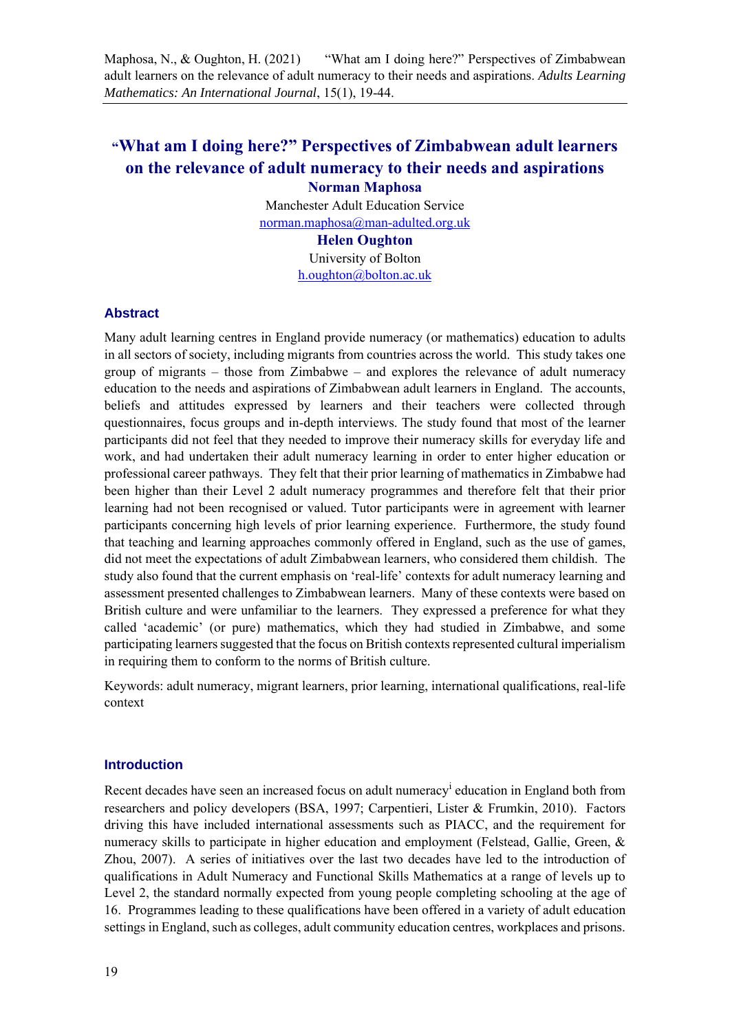# **"What am I doing here?" Perspectives of Zimbabwean adult learners on the relevance of adult numeracy to their needs and aspirations Norman Maphosa**

Manchester Adult Education Service norman.maphosa@man-adulted.org.uk

#### **Helen Oughton**

University of Bolton h.oughton@bolton.ac.uk

## **Abstract**

Many adult learning centres in England provide numeracy (or mathematics) education to adults in all sectors of society, including migrants from countries across the world. This study takes one group of migrants – those from Zimbabwe – and explores the relevance of adult numeracy education to the needs and aspirations of Zimbabwean adult learners in England. The accounts, beliefs and attitudes expressed by learners and their teachers were collected through questionnaires, focus groups and in-depth interviews. The study found that most of the learner participants did not feel that they needed to improve their numeracy skills for everyday life and work, and had undertaken their adult numeracy learning in order to enter higher education or professional career pathways. They felt that their prior learning of mathematics in Zimbabwe had been higher than their Level 2 adult numeracy programmes and therefore felt that their prior learning had not been recognised or valued. Tutor participants were in agreement with learner participants concerning high levels of prior learning experience. Furthermore, the study found that teaching and learning approaches commonly offered in England, such as the use of games, did not meet the expectations of adult Zimbabwean learners, who considered them childish. The study also found that the current emphasis on 'real-life' contexts for adult numeracy learning and assessment presented challenges to Zimbabwean learners. Many of these contexts were based on British culture and were unfamiliar to the learners. They expressed a preference for what they called 'academic' (or pure) mathematics, which they had studied in Zimbabwe, and some participating learners suggested that the focus on British contexts represented cultural imperialism in requiring them to conform to the norms of British culture.

Keywords: adult numeracy, migrant learners, prior learning, international qualifications, real-life context

## **Introduction**

Recent decades have seen an increased focus on adult numeracy<sup>i</sup> education in England both from researchers and policy developers (BSA, 1997; Carpentieri, Lister & Frumkin, 2010). Factors driving this have included international assessments such as PIACC, and the requirement for numeracy skills to participate in higher education and employment (Felstead, Gallie, Green, & Zhou, 2007). A series of initiatives over the last two decades have led to the introduction of qualifications in Adult Numeracy and Functional Skills Mathematics at a range of levels up to Level 2, the standard normally expected from young people completing schooling at the age of 16. Programmes leading to these qualifications have been offered in a variety of adult education settings in England, such as colleges, adult community education centres, workplaces and prisons.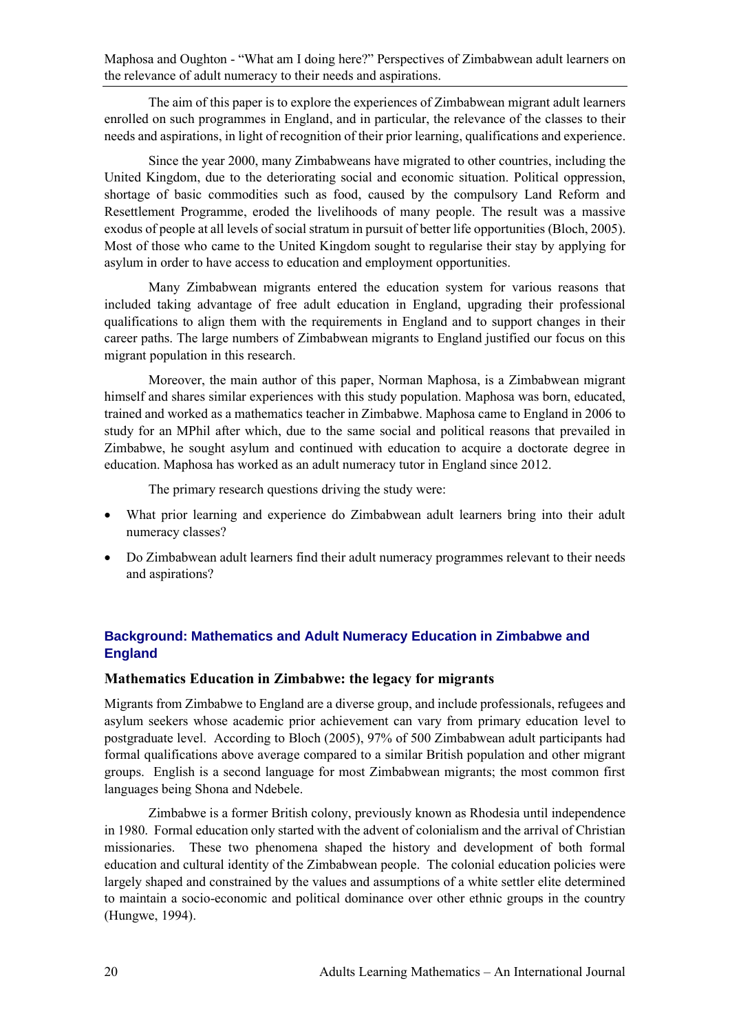The aim of this paper is to explore the experiences of Zimbabwean migrant adult learners enrolled on such programmes in England, and in particular, the relevance of the classes to their needs and aspirations, in light of recognition of their prior learning, qualifications and experience.

Since the year 2000, many Zimbabweans have migrated to other countries, including the United Kingdom, due to the deteriorating social and economic situation. Political oppression, shortage of basic commodities such as food, caused by the compulsory Land Reform and Resettlement Programme, eroded the livelihoods of many people. The result was a massive exodus of people at all levels of social stratum in pursuit of better life opportunities (Bloch, 2005). Most of those who came to the United Kingdom sought to regularise their stay by applying for asylum in order to have access to education and employment opportunities.

Many Zimbabwean migrants entered the education system for various reasons that included taking advantage of free adult education in England, upgrading their professional qualifications to align them with the requirements in England and to support changes in their career paths. The large numbers of Zimbabwean migrants to England justified our focus on this migrant population in this research.

Moreover, the main author of this paper, Norman Maphosa, is a Zimbabwean migrant himself and shares similar experiences with this study population. Maphosa was born, educated, trained and worked as a mathematics teacher in Zimbabwe. Maphosa came to England in 2006 to study for an MPhil after which, due to the same social and political reasons that prevailed in Zimbabwe, he sought asylum and continued with education to acquire a doctorate degree in education. Maphosa has worked as an adult numeracy tutor in England since 2012.

The primary research questions driving the study were:

- What prior learning and experience do Zimbabwean adult learners bring into their adult numeracy classes?
- Do Zimbabwean adult learners find their adult numeracy programmes relevant to their needs and aspirations?

# **Background: Mathematics and Adult Numeracy Education in Zimbabwe and England**

## **Mathematics Education in Zimbabwe: the legacy for migrants**

Migrants from Zimbabwe to England are a diverse group, and include professionals, refugees and asylum seekers whose academic prior achievement can vary from primary education level to postgraduate level. According to Bloch (2005), 97% of 500 Zimbabwean adult participants had formal qualifications above average compared to a similar British population and other migrant groups. English is a second language for most Zimbabwean migrants; the most common first languages being Shona and Ndebele.

Zimbabwe is a former British colony, previously known as Rhodesia until independence in 1980. Formal education only started with the advent of colonialism and the arrival of Christian missionaries. These two phenomena shaped the history and development of both formal education and cultural identity of the Zimbabwean people. The colonial education policies were largely shaped and constrained by the values and assumptions of a white settler elite determined to maintain a socio-economic and political dominance over other ethnic groups in the country (Hungwe, 1994).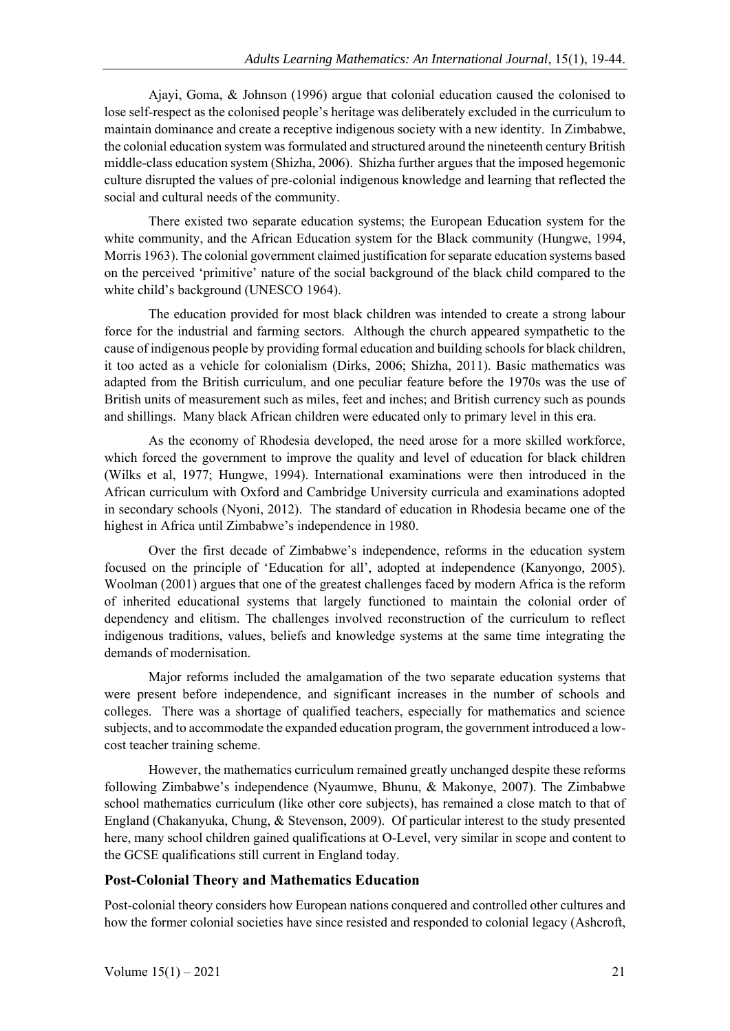Ajayi, Goma, & Johnson (1996) argue that colonial education caused the colonised to lose self-respect as the colonised people's heritage was deliberately excluded in the curriculum to maintain dominance and create a receptive indigenous society with a new identity. In Zimbabwe, the colonial education system was formulated and structured around the nineteenth century British middle-class education system (Shizha, 2006). Shizha further argues that the imposed hegemonic culture disrupted the values of pre-colonial indigenous knowledge and learning that reflected the social and cultural needs of the community.

There existed two separate education systems; the European Education system for the white community, and the African Education system for the Black community (Hungwe, 1994, Morris 1963). The colonial government claimed justification for separate education systems based on the perceived 'primitive' nature of the social background of the black child compared to the white child's background (UNESCO 1964).

The education provided for most black children was intended to create a strong labour force for the industrial and farming sectors. Although the church appeared sympathetic to the cause of indigenous people by providing formal education and building schools for black children, it too acted as a vehicle for colonialism (Dirks, 2006; Shizha, 2011). Basic mathematics was adapted from the British curriculum, and one peculiar feature before the 1970s was the use of British units of measurement such as miles, feet and inches; and British currency such as pounds and shillings. Many black African children were educated only to primary level in this era.

As the economy of Rhodesia developed, the need arose for a more skilled workforce, which forced the government to improve the quality and level of education for black children (Wilks et al, 1977; Hungwe, 1994). International examinations were then introduced in the African curriculum with Oxford and Cambridge University curricula and examinations adopted in secondary schools (Nyoni, 2012). The standard of education in Rhodesia became one of the highest in Africa until Zimbabwe's independence in 1980.

Over the first decade of Zimbabwe's independence, reforms in the education system focused on the principle of 'Education for all', adopted at independence (Kanyongo, 2005). Woolman (2001) argues that one of the greatest challenges faced by modern Africa is the reform of inherited educational systems that largely functioned to maintain the colonial order of dependency and elitism. The challenges involved reconstruction of the curriculum to reflect indigenous traditions, values, beliefs and knowledge systems at the same time integrating the demands of modernisation.

Major reforms included the amalgamation of the two separate education systems that were present before independence, and significant increases in the number of schools and colleges. There was a shortage of qualified teachers, especially for mathematics and science subjects, and to accommodate the expanded education program, the government introduced a lowcost teacher training scheme.

However, the mathematics curriculum remained greatly unchanged despite these reforms following Zimbabwe's independence (Nyaumwe, Bhunu, & Makonye, 2007). The Zimbabwe school mathematics curriculum (like other core subjects), has remained a close match to that of England (Chakanyuka, Chung, & Stevenson, 2009). Of particular interest to the study presented here, many school children gained qualifications at O-Level, very similar in scope and content to the GCSE qualifications still current in England today.

## **Post-Colonial Theory and Mathematics Education**

Post-colonial theory considers how European nations conquered and controlled other cultures and how the former colonial societies have since resisted and responded to colonial legacy (Ashcroft,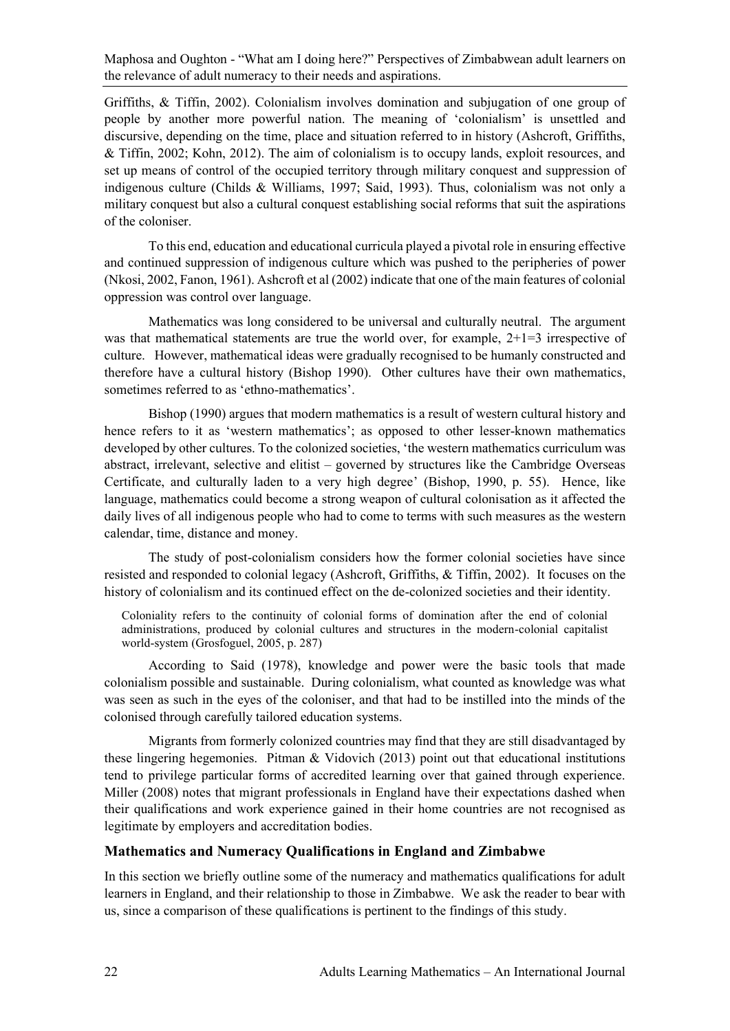Griffiths, & Tiffin, 2002). Colonialism involves domination and subjugation of one group of people by another more powerful nation. The meaning of 'colonialism' is unsettled and discursive, depending on the time, place and situation referred to in history (Ashcroft, Griffiths, & Tiffin, 2002; Kohn, 2012). The aim of colonialism is to occupy lands, exploit resources, and set up means of control of the occupied territory through military conquest and suppression of indigenous culture (Childs & Williams, 1997; Said, 1993). Thus, colonialism was not only a military conquest but also a cultural conquest establishing social reforms that suit the aspirations of the coloniser.

To this end, education and educational curricula played a pivotal role in ensuring effective and continued suppression of indigenous culture which was pushed to the peripheries of power (Nkosi, 2002, Fanon, 1961). Ashcroft et al (2002) indicate that one of the main features of colonial oppression was control over language.

Mathematics was long considered to be universal and culturally neutral. The argument was that mathematical statements are true the world over, for example,  $2+1=3$  irrespective of culture. However, mathematical ideas were gradually recognised to be humanly constructed and therefore have a cultural history (Bishop 1990). Other cultures have their own mathematics, sometimes referred to as 'ethno-mathematics'.

Bishop (1990) argues that modern mathematics is a result of western cultural history and hence refers to it as 'western mathematics'; as opposed to other lesser-known mathematics developed by other cultures. To the colonized societies, 'the western mathematics curriculum was abstract, irrelevant, selective and elitist – governed by structures like the Cambridge Overseas Certificate, and culturally laden to a very high degree' (Bishop, 1990, p. 55). Hence, like language, mathematics could become a strong weapon of cultural colonisation as it affected the daily lives of all indigenous people who had to come to terms with such measures as the western calendar, time, distance and money.

The study of post-colonialism considers how the former colonial societies have since resisted and responded to colonial legacy (Ashcroft, Griffiths, & Tiffin, 2002). It focuses on the history of colonialism and its continued effect on the de-colonized societies and their identity.

Coloniality refers to the continuity of colonial forms of domination after the end of colonial administrations, produced by colonial cultures and structures in the modern-colonial capitalist world-system (Grosfoguel, 2005, p. 287)

According to Said (1978), knowledge and power were the basic tools that made colonialism possible and sustainable. During colonialism, what counted as knowledge was what was seen as such in the eyes of the coloniser, and that had to be instilled into the minds of the colonised through carefully tailored education systems.

Migrants from formerly colonized countries may find that they are still disadvantaged by these lingering hegemonies. Pitman & Vidovich (2013) point out that educational institutions tend to privilege particular forms of accredited learning over that gained through experience. Miller (2008) notes that migrant professionals in England have their expectations dashed when their qualifications and work experience gained in their home countries are not recognised as legitimate by employers and accreditation bodies.

## **Mathematics and Numeracy Qualifications in England and Zimbabwe**

In this section we briefly outline some of the numeracy and mathematics qualifications for adult learners in England, and their relationship to those in Zimbabwe. We ask the reader to bear with us, since a comparison of these qualifications is pertinent to the findings of this study.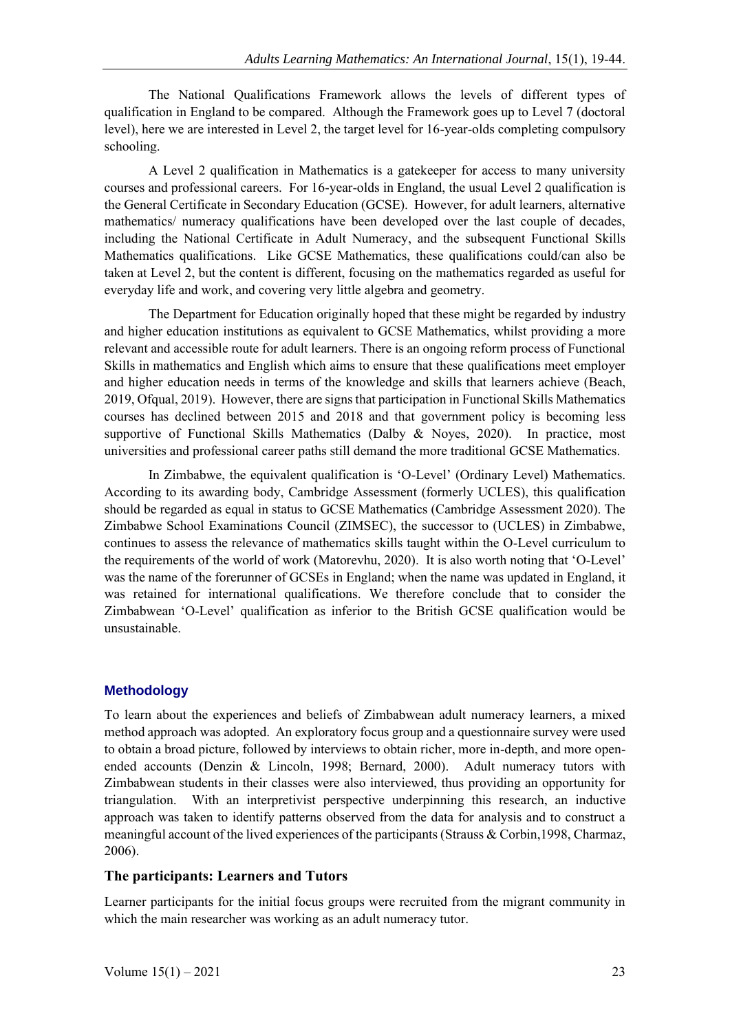The National Qualifications Framework allows the levels of different types of qualification in England to be compared. Although the Framework goes up to Level 7 (doctoral level), here we are interested in Level 2, the target level for 16-year-olds completing compulsory schooling.

A Level 2 qualification in Mathematics is a gatekeeper for access to many university courses and professional careers. For 16-year-olds in England, the usual Level 2 qualification is the General Certificate in Secondary Education (GCSE). However, for adult learners, alternative mathematics/ numeracy qualifications have been developed over the last couple of decades, including the National Certificate in Adult Numeracy, and the subsequent Functional Skills Mathematics qualifications. Like GCSE Mathematics, these qualifications could/can also be taken at Level 2, but the content is different, focusing on the mathematics regarded as useful for everyday life and work, and covering very little algebra and geometry.

The Department for Education originally hoped that these might be regarded by industry and higher education institutions as equivalent to GCSE Mathematics, whilst providing a more relevant and accessible route for adult learners. There is an ongoing reform process of Functional Skills in mathematics and English which aims to ensure that these qualifications meet employer and higher education needs in terms of the knowledge and skills that learners achieve (Beach, 2019, Ofqual, 2019). However, there are signs that participation in Functional Skills Mathematics courses has declined between 2015 and 2018 and that government policy is becoming less supportive of Functional Skills Mathematics (Dalby & Noyes, 2020). In practice, most universities and professional career paths still demand the more traditional GCSE Mathematics.

In Zimbabwe, the equivalent qualification is 'O-Level' (Ordinary Level) Mathematics. According to its awarding body, Cambridge Assessment (formerly UCLES), this qualification should be regarded as equal in status to GCSE Mathematics (Cambridge Assessment 2020). The Zimbabwe School Examinations Council (ZIMSEC), the successor to (UCLES) in Zimbabwe, continues to assess the relevance of mathematics skills taught within the O-Level curriculum to the requirements of the world of work (Matorevhu, 2020). It is also worth noting that 'O-Level' was the name of the forerunner of GCSEs in England; when the name was updated in England, it was retained for international qualifications. We therefore conclude that to consider the Zimbabwean 'O-Level' qualification as inferior to the British GCSE qualification would be unsustainable.

## **Methodology**

To learn about the experiences and beliefs of Zimbabwean adult numeracy learners, a mixed method approach was adopted. An exploratory focus group and a questionnaire survey were used to obtain a broad picture, followed by interviews to obtain richer, more in-depth, and more openended accounts (Denzin & Lincoln, 1998; Bernard, 2000). Adult numeracy tutors with Zimbabwean students in their classes were also interviewed, thus providing an opportunity for triangulation. With an interpretivist perspective underpinning this research, an inductive approach was taken to identify patterns observed from the data for analysis and to construct a meaningful account of the lived experiences of the participants (Strauss & Corbin,1998, Charmaz, 2006).

## **The participants: Learners and Tutors**

Learner participants for the initial focus groups were recruited from the migrant community in which the main researcher was working as an adult numeracy tutor.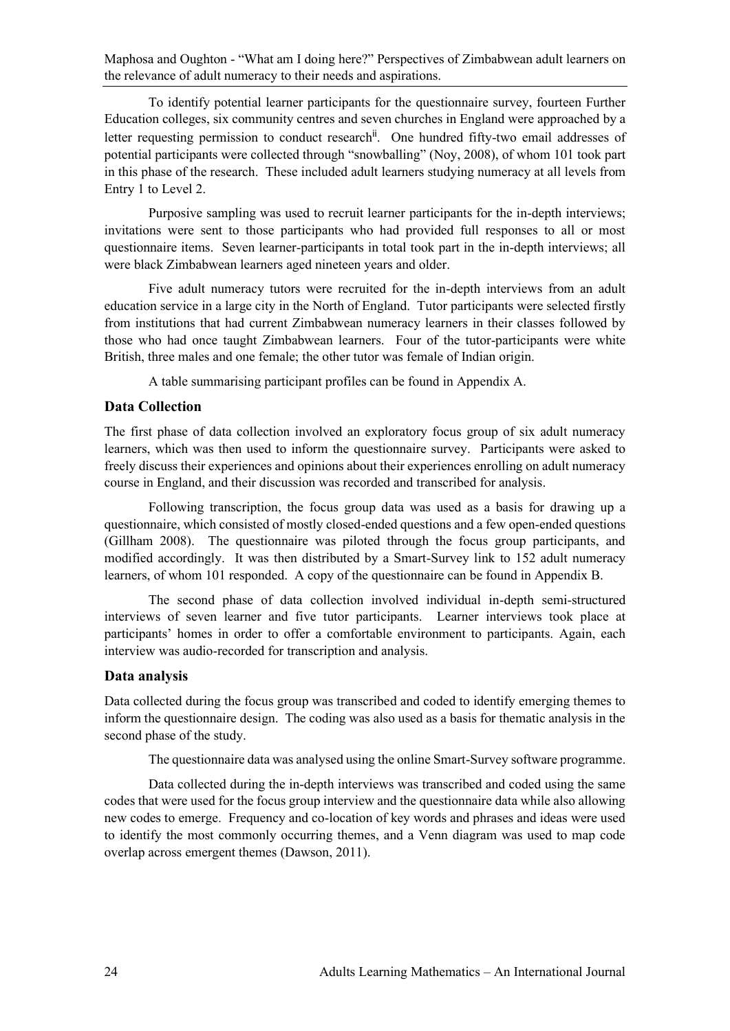To identify potential learner participants for the questionnaire survey, fourteen Further Education colleges, six community centres and seven churches in England were approached by a letter requesting permission to conduct research<sup>ii</sup>. One hundred fifty-two email addresses of potential participants were collected through "snowballing" (Noy, 2008), of whom 101 took part in this phase of the research. These included adult learners studying numeracy at all levels from Entry 1 to Level 2.

Purposive sampling was used to recruit learner participants for the in-depth interviews; invitations were sent to those participants who had provided full responses to all or most questionnaire items. Seven learner-participants in total took part in the in-depth interviews; all were black Zimbabwean learners aged nineteen years and older.

Five adult numeracy tutors were recruited for the in-depth interviews from an adult education service in a large city in the North of England. Tutor participants were selected firstly from institutions that had current Zimbabwean numeracy learners in their classes followed by those who had once taught Zimbabwean learners. Four of the tutor-participants were white British, three males and one female; the other tutor was female of Indian origin.

A table summarising participant profiles can be found in Appendix A.

## **Data Collection**

The first phase of data collection involved an exploratory focus group of six adult numeracy learners, which was then used to inform the questionnaire survey. Participants were asked to freely discuss their experiences and opinions about their experiences enrolling on adult numeracy course in England, and their discussion was recorded and transcribed for analysis.

Following transcription, the focus group data was used as a basis for drawing up a questionnaire, which consisted of mostly closed-ended questions and a few open-ended questions (Gillham 2008). The questionnaire was piloted through the focus group participants, and modified accordingly. It was then distributed by a Smart-Survey link to 152 adult numeracy learners, of whom 101 responded. A copy of the questionnaire can be found in Appendix B.

The second phase of data collection involved individual in-depth semi-structured interviews of seven learner and five tutor participants. Learner interviews took place at participants' homes in order to offer a comfortable environment to participants. Again, each interview was audio-recorded for transcription and analysis.

## **Data analysis**

Data collected during the focus group was transcribed and coded to identify emerging themes to inform the questionnaire design. The coding was also used as a basis for thematic analysis in the second phase of the study.

The questionnaire data was analysed using the online Smart-Survey software programme.

Data collected during the in-depth interviews was transcribed and coded using the same codes that were used for the focus group interview and the questionnaire data while also allowing new codes to emerge. Frequency and co-location of key words and phrases and ideas were used to identify the most commonly occurring themes, and a Venn diagram was used to map code overlap across emergent themes (Dawson, 2011).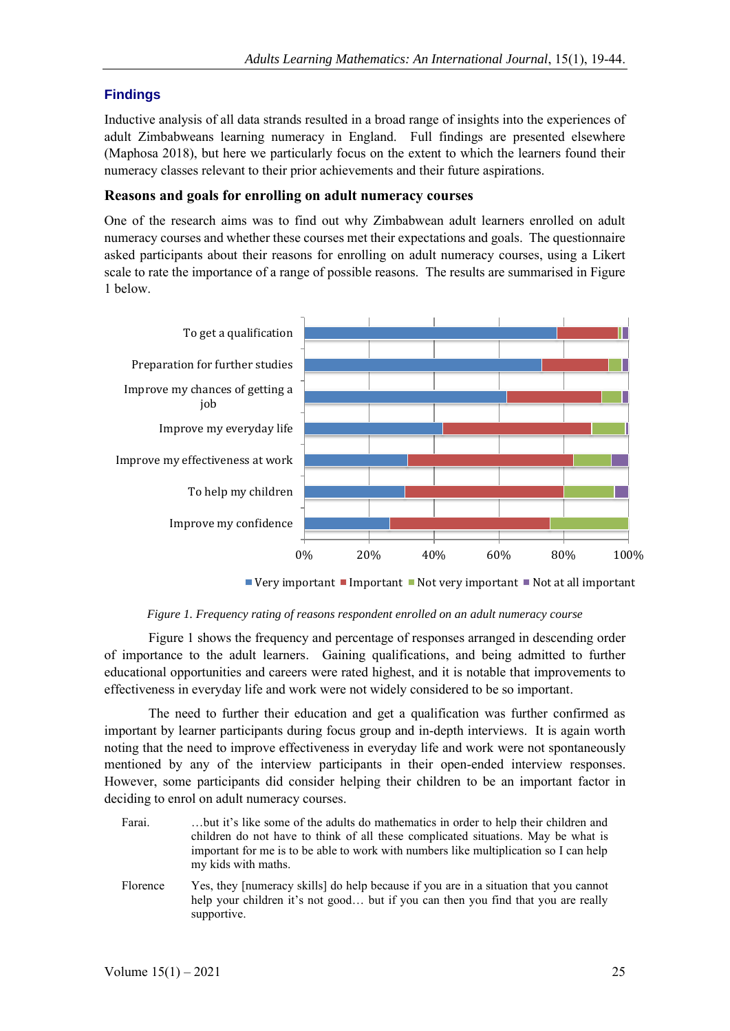# **Findings**

Inductive analysis of all data strands resulted in a broad range of insights into the experiences of adult Zimbabweans learning numeracy in England. Full findings are presented elsewhere (Maphosa 2018), but here we particularly focus on the extent to which the learners found their numeracy classes relevant to their prior achievements and their future aspirations.

## **Reasons and goals for enrolling on adult numeracy courses**

One of the research aims was to find out why Zimbabwean adult learners enrolled on adult numeracy courses and whether these courses met their expectations and goals. The questionnaire asked participants about their reasons for enrolling on adult numeracy courses, using a Likert scale to rate the importance of a range of possible reasons. The results are summarised in Figure 1 below.



Very important Important Not very important Not at all important



Figure 1 shows the frequency and percentage of responses arranged in descending order of importance to the adult learners. Gaining qualifications, and being admitted to further educational opportunities and careers were rated highest, and it is notable that improvements to effectiveness in everyday life and work were not widely considered to be so important.

The need to further their education and get a qualification was further confirmed as important by learner participants during focus group and in-depth interviews. It is again worth noting that the need to improve effectiveness in everyday life and work were not spontaneously mentioned by any of the interview participants in their open-ended interview responses. However, some participants did consider helping their children to be an important factor in deciding to enrol on adult numeracy courses.

- Farai. …but it's like some of the adults do mathematics in order to help their children and children do not have to think of all these complicated situations. May be what is important for me is to be able to work with numbers like multiplication so I can help my kids with maths.
- Florence Yes, they [numeracy skills] do help because if you are in a situation that you cannot help your children it's not good... but if you can then you find that you are really supportive.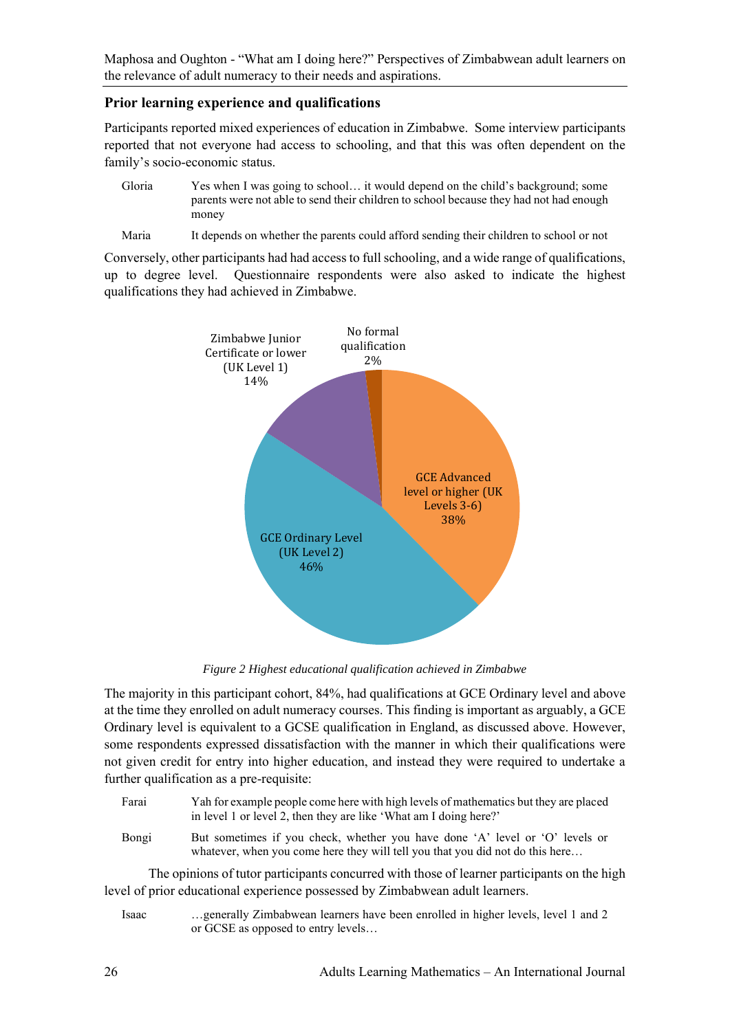## **Prior learning experience and qualifications**

Participants reported mixed experiences of education in Zimbabwe. Some interview participants reported that not everyone had access to schooling, and that this was often dependent on the family's socio-economic status.

- Gloria Yes when I was going to school… it would depend on the child's background; some parents were not able to send their children to school because they had not had enough money
- Maria It depends on whether the parents could afford sending their children to school or not

Conversely, other participants had had access to full schooling, and a wide range of qualifications, up to degree level. Questionnaire respondents were also asked to indicate the highest qualifications they had achieved in Zimbabwe.



*Figure 2 Highest educational qualification achieved in Zimbabwe*

The majority in this participant cohort, 84%, had qualifications at GCE Ordinary level and above at the time they enrolled on adult numeracy courses. This finding is important as arguably, a GCE Ordinary level is equivalent to a GCSE qualification in England, as discussed above. However, some respondents expressed dissatisfaction with the manner in which their qualifications were not given credit for entry into higher education, and instead they were required to undertake a further qualification as a pre-requisite:

- Farai Yah for example people come here with high levels of mathematics but they are placed in level 1 or level 2, then they are like 'What am I doing here?'
- Bongi But sometimes if you check, whether you have done 'A' level or 'O' levels or whatever, when you come here they will tell you that you did not do this here...

The opinions of tutor participants concurred with those of learner participants on the high level of prior educational experience possessed by Zimbabwean adult learners.

Isaac …generally Zimbabwean learners have been enrolled in higher levels, level 1 and 2 or GCSE as opposed to entry levels…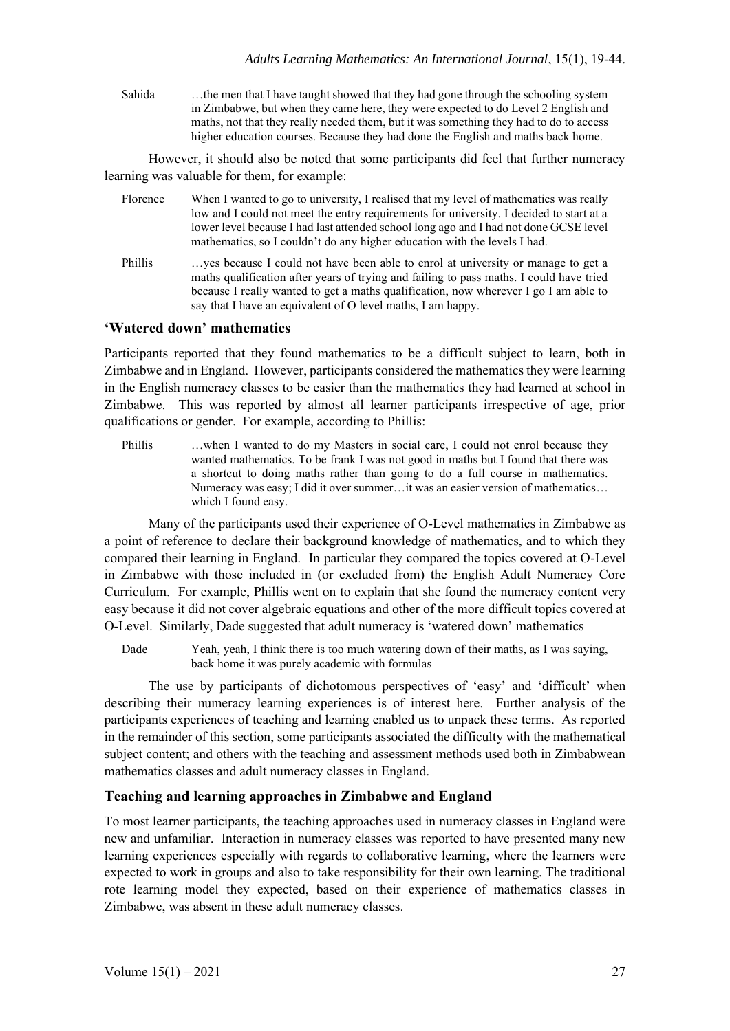Sahida ... the men that I have taught showed that they had gone through the schooling system in Zimbabwe, but when they came here, they were expected to do Level 2 English and maths, not that they really needed them, but it was something they had to do to access higher education courses. Because they had done the English and maths back home.

However, it should also be noted that some participants did feel that further numeracy learning was valuable for them, for example:

- Florence When I wanted to go to university, I realised that my level of mathematics was really low and I could not meet the entry requirements for university. I decided to start at a lower level because I had last attended school long ago and I had not done GCSE level mathematics, so I couldn't do any higher education with the levels I had.
- Phillis …yes because I could not have been able to enrol at university or manage to get a maths qualification after years of trying and failing to pass maths. I could have tried because I really wanted to get a maths qualification, now wherever I go I am able to say that I have an equivalent of O level maths, I am happy.

#### **'Watered down' mathematics**

Participants reported that they found mathematics to be a difficult subject to learn, both in Zimbabwe and in England. However, participants considered the mathematics they were learning in the English numeracy classes to be easier than the mathematics they had learned at school in Zimbabwe. This was reported by almost all learner participants irrespective of age, prior qualifications or gender. For example, according to Phillis:

Phillis …when I wanted to do my Masters in social care, I could not enrol because they wanted mathematics. To be frank I was not good in maths but I found that there was a shortcut to doing maths rather than going to do a full course in mathematics. Numeracy was easy; I did it over summer…it was an easier version of mathematics… which I found easy.

Many of the participants used their experience of O-Level mathematics in Zimbabwe as a point of reference to declare their background knowledge of mathematics, and to which they compared their learning in England. In particular they compared the topics covered at O-Level in Zimbabwe with those included in (or excluded from) the English Adult Numeracy Core Curriculum. For example, Phillis went on to explain that she found the numeracy content very easy because it did not cover algebraic equations and other of the more difficult topics covered at O-Level. Similarly, Dade suggested that adult numeracy is 'watered down' mathematics

Dade Yeah, yeah, I think there is too much watering down of their maths, as I was saying, back home it was purely academic with formulas

The use by participants of dichotomous perspectives of 'easy' and 'difficult' when describing their numeracy learning experiences is of interest here. Further analysis of the participants experiences of teaching and learning enabled us to unpack these terms. As reported in the remainder of this section, some participants associated the difficulty with the mathematical subject content; and others with the teaching and assessment methods used both in Zimbabwean mathematics classes and adult numeracy classes in England.

## **Teaching and learning approaches in Zimbabwe and England**

To most learner participants, the teaching approaches used in numeracy classes in England were new and unfamiliar. Interaction in numeracy classes was reported to have presented many new learning experiences especially with regards to collaborative learning, where the learners were expected to work in groups and also to take responsibility for their own learning. The traditional rote learning model they expected, based on their experience of mathematics classes in Zimbabwe, was absent in these adult numeracy classes.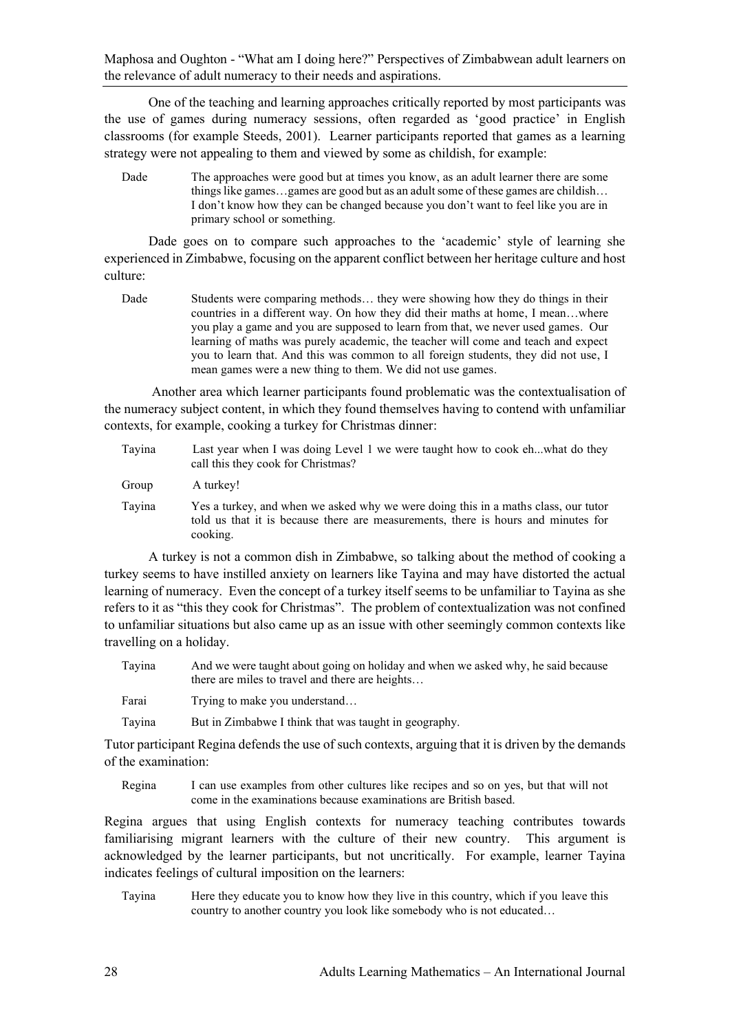One of the teaching and learning approaches critically reported by most participants was the use of games during numeracy sessions, often regarded as 'good practice' in English classrooms (for example Steeds, 2001). Learner participants reported that games as a learning strategy were not appealing to them and viewed by some as childish, for example:

Dade The approaches were good but at times you know, as an adult learner there are some things like games…games are good but as an adult some of these games are childish… I don't know how they can be changed because you don't want to feel like you are in primary school or something.

Dade goes on to compare such approaches to the 'academic' style of learning she experienced in Zimbabwe, focusing on the apparent conflict between her heritage culture and host culture:

Dade Students were comparing methods... they were showing how they do things in their countries in a different way. On how they did their maths at home, I mean…where you play a game and you are supposed to learn from that, we never used games. Our learning of maths was purely academic, the teacher will come and teach and expect you to learn that. And this was common to all foreign students, they did not use, I mean games were a new thing to them. We did not use games.

Another area which learner participants found problematic was the contextualisation of the numeracy subject content, in which they found themselves having to contend with unfamiliar contexts, for example, cooking a turkey for Christmas dinner:

- Tayina Last year when I was doing Level 1 we were taught how to cook eh...what do they call this they cook for Christmas?
- Group A turkey!
- Tayina Yes a turkey, and when we asked why we were doing this in a maths class, our tutor told us that it is because there are measurements, there is hours and minutes for cooking.

A turkey is not a common dish in Zimbabwe, so talking about the method of cooking a turkey seems to have instilled anxiety on learners like Tayina and may have distorted the actual learning of numeracy. Even the concept of a turkey itself seems to be unfamiliar to Tayina as she refers to it as "this they cook for Christmas". The problem of contextualization was not confined to unfamiliar situations but also came up as an issue with other seemingly common contexts like travelling on a holiday.

- Tayina And we were taught about going on holiday and when we asked why, he said because there are miles to travel and there are heights…
- Farai Trying to make you understand...

Tayina But in Zimbabwe I think that was taught in geography.

Tutor participant Regina defends the use of such contexts, arguing that it is driven by the demands of the examination:

Regina I can use examples from other cultures like recipes and so on yes, but that will not come in the examinations because examinations are British based.

Regina argues that using English contexts for numeracy teaching contributes towards familiarising migrant learners with the culture of their new country. This argument is acknowledged by the learner participants, but not uncritically. For example, learner Tayina indicates feelings of cultural imposition on the learners:

Tayina Here they educate you to know how they live in this country, which if you leave this country to another country you look like somebody who is not educated…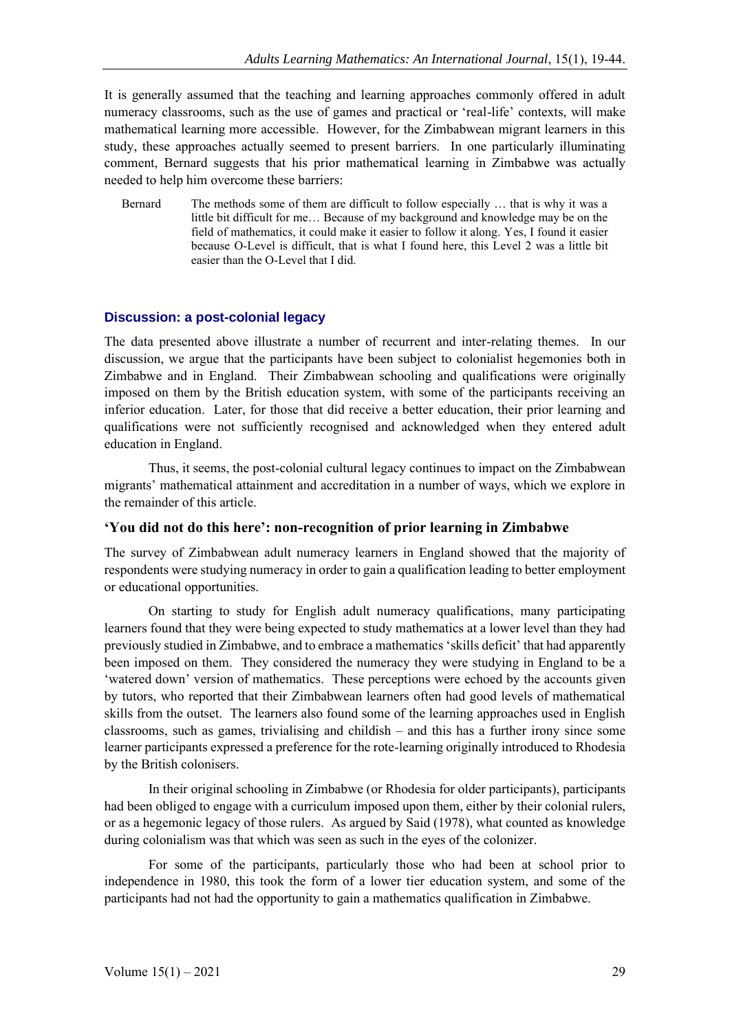It is generally assumed that the teaching and learning approaches commonly offered in adult numeracy classrooms, such as the use of games and practical or 'real-life' contexts, will make mathematical learning more accessible. However, for the Zimbabwean migrant learners in this study, these approaches actually seemed to present barriers. In one particularly illuminating comment, Bernard suggests that his prior mathematical learning in Zimbabwe was actually needed to help him overcome these barriers:

Bernard The methods some of them are difficult to follow especially … that is why it was a little bit difficult for me… Because of my background and knowledge may be on the field of mathematics, it could make it easier to follow it along. Yes, I found it easier because O-Level is difficult, that is what I found here, this Level 2 was a little bit easier than the O-Level that I did.

#### **Discussion: a post-colonial legacy**

The data presented above illustrate a number of recurrent and inter-relating themes. In our discussion, we argue that the participants have been subject to colonialist hegemonies both in Zimbabwe and in England. Their Zimbabwean schooling and qualifications were originally imposed on them by the British education system, with some of the participants receiving an inferior education. Later, for those that did receive a better education, their prior learning and qualifications were not sufficiently recognised and acknowledged when they entered adult education in England.

Thus, it seems, the post-colonial cultural legacy continues to impact on the Zimbabwean migrants' mathematical attainment and accreditation in a number of ways, which we explore in the remainder of this article.

#### **'You did not do this here': non-recognition of prior learning in Zimbabwe**

The survey of Zimbabwean adult numeracy learners in England showed that the majority of respondents were studying numeracy in order to gain a qualification leading to better employment or educational opportunities.

On starting to study for English adult numeracy qualifications, many participating learners found that they were being expected to study mathematics at a lower level than they had previously studied in Zimbabwe, and to embrace a mathematics 'skills deficit' that had apparently been imposed on them. They considered the numeracy they were studying in England to be a 'watered down' version of mathematics. These perceptions were echoed by the accounts given by tutors, who reported that their Zimbabwean learners often had good levels of mathematical skills from the outset. The learners also found some of the learning approaches used in English classrooms, such as games, trivialising and childish – and this has a further irony since some learner participants expressed a preference for the rote-learning originally introduced to Rhodesia by the British colonisers.

In their original schooling in Zimbabwe (or Rhodesia for older participants), participants had been obliged to engage with a curriculum imposed upon them, either by their colonial rulers, or as a hegemonic legacy of those rulers. As argued by Said (1978), what counted as knowledge during colonialism was that which was seen as such in the eyes of the colonizer.

For some of the participants, particularly those who had been at school prior to independence in 1980, this took the form of a lower tier education system, and some of the participants had not had the opportunity to gain a mathematics qualification in Zimbabwe.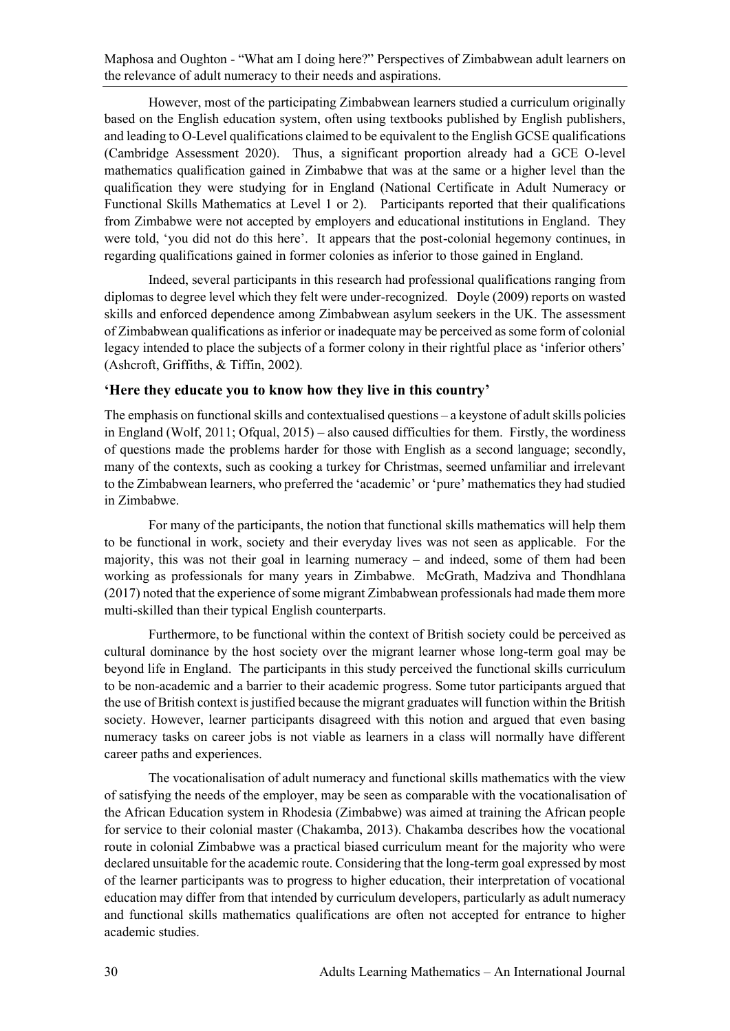However, most of the participating Zimbabwean learners studied a curriculum originally based on the English education system, often using textbooks published by English publishers, and leading to O-Level qualifications claimed to be equivalent to the English GCSE qualifications (Cambridge Assessment 2020). Thus, a significant proportion already had a GCE O-level mathematics qualification gained in Zimbabwe that was at the same or a higher level than the qualification they were studying for in England (National Certificate in Adult Numeracy or Functional Skills Mathematics at Level 1 or 2). Participants reported that their qualifications from Zimbabwe were not accepted by employers and educational institutions in England. They were told, 'you did not do this here'. It appears that the post-colonial hegemony continues, in regarding qualifications gained in former colonies as inferior to those gained in England.

Indeed, several participants in this research had professional qualifications ranging from diplomas to degree level which they felt were under-recognized. Doyle (2009) reports on wasted skills and enforced dependence among Zimbabwean asylum seekers in the UK. The assessment of Zimbabwean qualifications as inferior or inadequate may be perceived as some form of colonial legacy intended to place the subjects of a former colony in their rightful place as 'inferior others' (Ashcroft, Griffiths, & Tiffin, 2002).

## **'Here they educate you to know how they live in this country'**

The emphasis on functional skills and contextualised questions – a keystone of adult skills policies in England (Wolf, 2011; Ofqual, 2015) – also caused difficulties for them. Firstly, the wordiness of questions made the problems harder for those with English as a second language; secondly, many of the contexts, such as cooking a turkey for Christmas, seemed unfamiliar and irrelevant to the Zimbabwean learners, who preferred the 'academic' or 'pure' mathematics they had studied in Zimbabwe.

For many of the participants, the notion that functional skills mathematics will help them to be functional in work, society and their everyday lives was not seen as applicable. For the majority, this was not their goal in learning numeracy – and indeed, some of them had been working as professionals for many years in Zimbabwe. McGrath, Madziva and Thondhlana (2017) noted that the experience of some migrant Zimbabwean professionals had made them more multi-skilled than their typical English counterparts.

Furthermore, to be functional within the context of British society could be perceived as cultural dominance by the host society over the migrant learner whose long-term goal may be beyond life in England. The participants in this study perceived the functional skills curriculum to be non-academic and a barrier to their academic progress. Some tutor participants argued that the use of British context is justified because the migrant graduates will function within the British society. However, learner participants disagreed with this notion and argued that even basing numeracy tasks on career jobs is not viable as learners in a class will normally have different career paths and experiences.

The vocationalisation of adult numeracy and functional skills mathematics with the view of satisfying the needs of the employer, may be seen as comparable with the vocationalisation of the African Education system in Rhodesia (Zimbabwe) was aimed at training the African people for service to their colonial master (Chakamba, 2013). Chakamba describes how the vocational route in colonial Zimbabwe was a practical biased curriculum meant for the majority who were declared unsuitable for the academic route. Considering that the long-term goal expressed by most of the learner participants was to progress to higher education, their interpretation of vocational education may differ from that intended by curriculum developers, particularly as adult numeracy and functional skills mathematics qualifications are often not accepted for entrance to higher academic studies.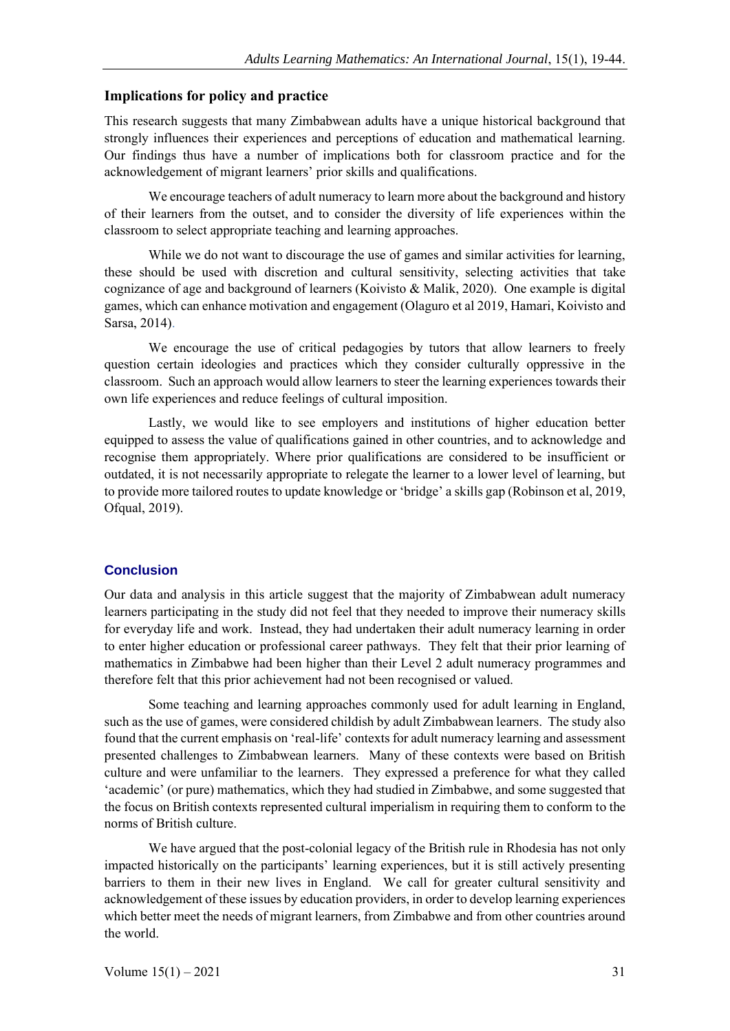#### **Implications for policy and practice**

This research suggests that many Zimbabwean adults have a unique historical background that strongly influences their experiences and perceptions of education and mathematical learning. Our findings thus have a number of implications both for classroom practice and for the acknowledgement of migrant learners' prior skills and qualifications.

We encourage teachers of adult numeracy to learn more about the background and history of their learners from the outset, and to consider the diversity of life experiences within the classroom to select appropriate teaching and learning approaches.

While we do not want to discourage the use of games and similar activities for learning, these should be used with discretion and cultural sensitivity, selecting activities that take cognizance of age and background of learners (Koivisto & Malik, 2020). One example is digital games, which can enhance motivation and engagement (Olaguro et al 2019, Hamari, Koivisto and Sarsa, 2014).

We encourage the use of critical pedagogies by tutors that allow learners to freely question certain ideologies and practices which they consider culturally oppressive in the classroom. Such an approach would allow learners to steer the learning experiences towards their own life experiences and reduce feelings of cultural imposition.

Lastly, we would like to see employers and institutions of higher education better equipped to assess the value of qualifications gained in other countries, and to acknowledge and recognise them appropriately. Where prior qualifications are considered to be insufficient or outdated, it is not necessarily appropriate to relegate the learner to a lower level of learning, but to provide more tailored routes to update knowledge or 'bridge' a skills gap (Robinson et al, 2019, Ofqual, 2019).

#### **Conclusion**

Our data and analysis in this article suggest that the majority of Zimbabwean adult numeracy learners participating in the study did not feel that they needed to improve their numeracy skills for everyday life and work. Instead, they had undertaken their adult numeracy learning in order to enter higher education or professional career pathways. They felt that their prior learning of mathematics in Zimbabwe had been higher than their Level 2 adult numeracy programmes and therefore felt that this prior achievement had not been recognised or valued.

Some teaching and learning approaches commonly used for adult learning in England, such as the use of games, were considered childish by adult Zimbabwean learners. The study also found that the current emphasis on 'real-life' contexts for adult numeracy learning and assessment presented challenges to Zimbabwean learners. Many of these contexts were based on British culture and were unfamiliar to the learners. They expressed a preference for what they called 'academic' (or pure) mathematics, which they had studied in Zimbabwe, and some suggested that the focus on British contexts represented cultural imperialism in requiring them to conform to the norms of British culture.

We have argued that the post-colonial legacy of the British rule in Rhodesia has not only impacted historically on the participants' learning experiences, but it is still actively presenting barriers to them in their new lives in England. We call for greater cultural sensitivity and acknowledgement of these issues by education providers, in order to develop learning experiences which better meet the needs of migrant learners, from Zimbabwe and from other countries around the world.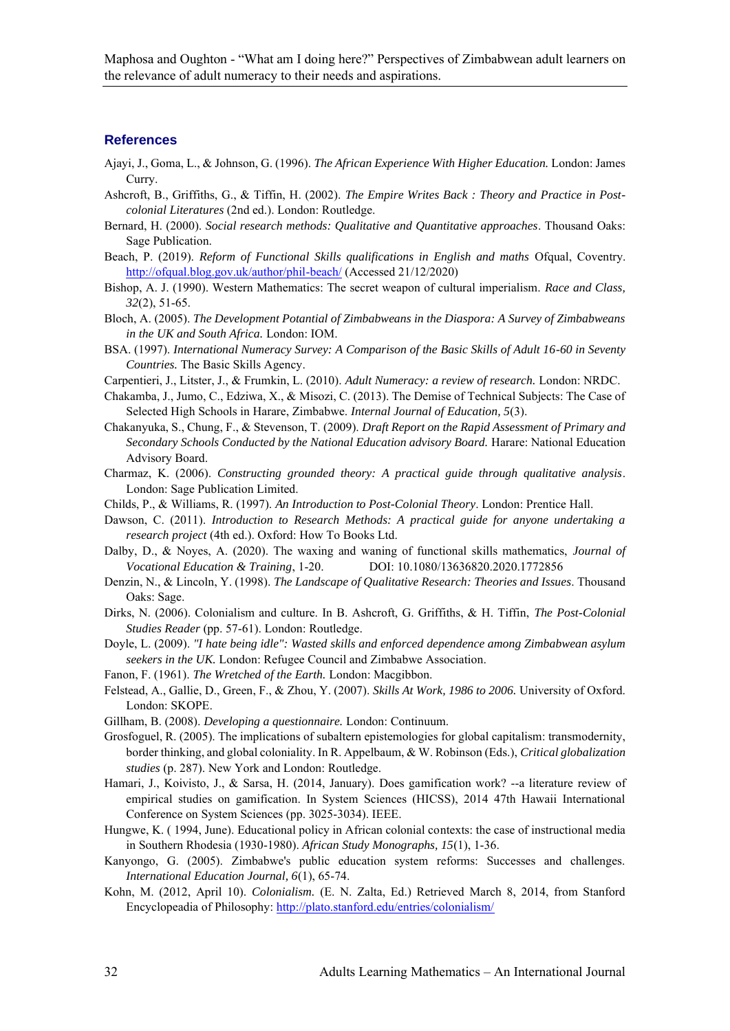#### **References**

- Ajayi, J., Goma, L., & Johnson, G. (1996). *The African Experience With Higher Education.* London: James Curry.
- Ashcroft, B., Griffiths, G., & Tiffin, H. (2002). *The Empire Writes Back : Theory and Practice in Postcolonial Literatures* (2nd ed.). London: Routledge.
- Bernard, H. (2000). *Social research methods: Qualitative and Quantitative approaches*. Thousand Oaks: Sage Publication.
- Beach, P. (2019). *Reform of Functional Skills qualifications in English and maths* Ofqual, Coventry. http://ofqual.blog.gov.uk/author/phil-beach/ (Accessed 21/12/2020)
- Bishop, A. J. (1990). Western Mathematics: The secret weapon of cultural imperialism. *Race and Class, 32*(2), 51-65.
- Bloch, A. (2005). *The Development Potantial of Zimbabweans in the Diaspora: A Survey of Zimbabweans in the UK and South Africa.* London: IOM.
- BSA. (1997). *International Numeracy Survey: A Comparison of the Basic Skills of Adult 16-60 in Seventy Countries.* The Basic Skills Agency.
- Carpentieri, J., Litster, J., & Frumkin, L. (2010). *Adult Numeracy: a review of research.* London: NRDC.
- Chakamba, J., Jumo, C., Edziwa, X., & Misozi, C. (2013). The Demise of Technical Subjects: The Case of Selected High Schools in Harare, Zimbabwe. *Internal Journal of Education, 5*(3).
- Chakanyuka, S., Chung, F., & Stevenson, T. (2009). *Draft Report on the Rapid Assessment of Primary and Secondary Schools Conducted by the National Education advisory Board.* Harare: National Education Advisory Board.
- Charmaz, K. (2006). *Constructing grounded theory: A practical guide through qualitative analysis*. London: Sage Publication Limited.
- Childs, P., & Williams, R. (1997). *An Introduction to Post-Colonial Theory*. London: Prentice Hall.
- Dawson, C. (2011). *Introduction to Research Methods: A practical guide for anyone undertaking a research project* (4th ed.). Oxford: How To Books Ltd.
- Dalby, D., & Noyes, A. (2020). The waxing and waning of functional skills mathematics, *Journal of Vocational Education & Training*, 1-20. DOI: 10.1080/13636820.2020.1772856
- Denzin, N., & Lincoln, Y. (1998). *The Landscape of Qualitative Research: Theories and Issues*. Thousand Oaks: Sage.
- Dirks, N. (2006). Colonialism and culture. In B. Ashcroft, G. Griffiths, & H. Tiffin, *The Post-Colonial Studies Reader* (pp. 57-61). London: Routledge.
- Doyle, L. (2009). *"I hate being idle": Wasted skills and enforced dependence among Zimbabwean asylum seekers in the UK.* London: Refugee Council and Zimbabwe Association.
- Fanon, F. (1961). *The Wretched of the Earth.* London: Macgibbon.
- Felstead, A., Gallie, D., Green, F., & Zhou, Y. (2007). *Skills At Work, 1986 to 2006.* University of Oxford. London: SKOPE.
- Gillham, B. (2008). *Developing a questionnaire.* London: Continuum.
- Grosfoguel, R. (2005). The implications of subaltern epistemologies for global capitalism: transmodernity, border thinking, and global coloniality. In R. Appelbaum, & W. Robinson (Eds.), *Critical globalization studies* (p. 287). New York and London: Routledge.
- Hamari, J., Koivisto, J., & Sarsa, H. (2014, January). Does gamification work? --a literature review of empirical studies on gamification. In System Sciences (HICSS), 2014 47th Hawaii International Conference on System Sciences (pp. 3025-3034). IEEE.
- Hungwe, K. ( 1994, June). Educational policy in African colonial contexts: the case of instructional media in Southern Rhodesia (1930-1980). *African Study Monographs, 15*(1), 1-36.
- Kanyongo, G. (2005). Zimbabwe's public education system reforms: Successes and challenges. *International Education Journal, 6*(1), 65-74.
- Kohn, M. (2012, April 10). *Colonialism.* (E. N. Zalta, Ed.) Retrieved March 8, 2014, from Stanford Encyclopeadia of Philosophy: http://plato.stanford.edu/entries/colonialism/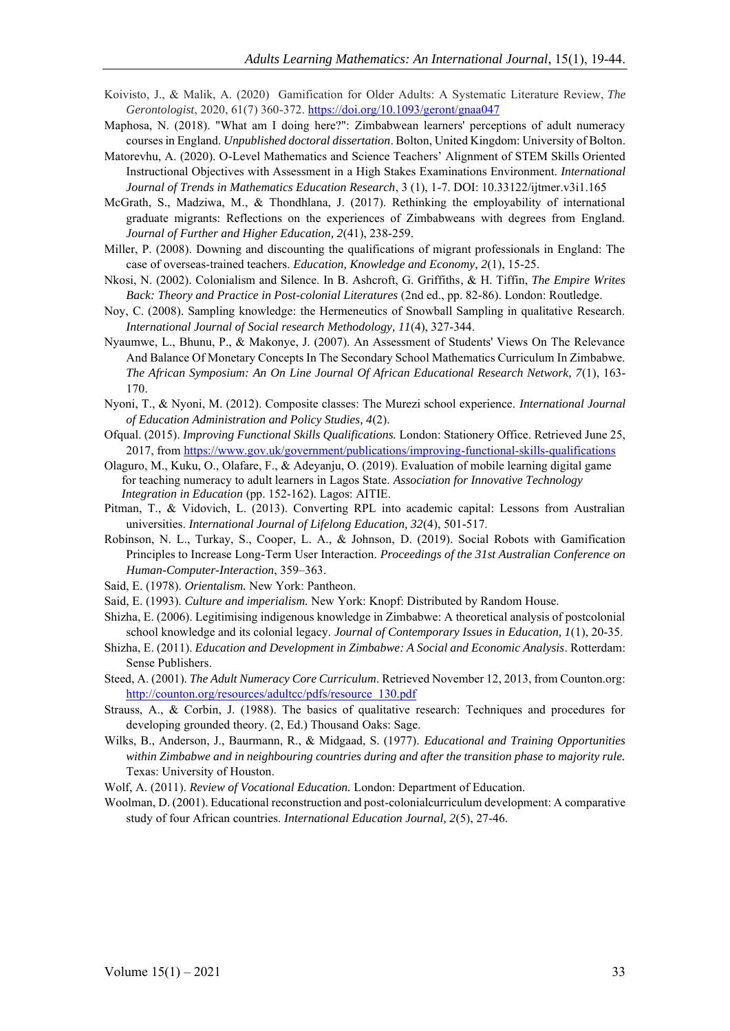- Koivisto, J., & Malik, A. (2020) Gamification for Older Adults: A Systematic Literature Review, *The Gerontologist*, 2020, 61(7) 360-372. https://doi.org/10.1093/geront/gnaa047
- Maphosa, N. (2018). "What am I doing here?": Zimbabwean learners' perceptions of adult numeracy courses in England. *Unpublished doctoral dissertation*. Bolton, United Kingdom: University of Bolton.
- Matorevhu, A. (2020). O-Level Mathematics and Science Teachers' Alignment of STEM Skills Oriented Instructional Objectives with Assessment in a High Stakes Examinations Environment. *International Journal of Trends in Mathematics Education Research*, 3 (1), 1-7. DOI: 10.33122/ijtmer.v3i1.165
- McGrath, S., Madziwa, M., & Thondhlana, J. (2017). Rethinking the employability of international graduate migrants: Reflections on the experiences of Zimbabweans with degrees from England. *Journal of Further and Higher Education, 2*(41), 238-259.
- Miller, P. (2008). Downing and discounting the qualifications of migrant professionals in England: The case of overseas-trained teachers. *Education, Knowledge and Economy, 2*(1), 15-25.
- Nkosi, N. (2002). Colonialism and Silence. In B. Ashcroft, G. Griffiths, & H. Tiffin, *The Empire Writes Back: Theory and Practice in Post-colonial Literatures* (2nd ed., pp. 82-86). London: Routledge.
- Noy, C. (2008). Sampling knowledge: the Hermeneutics of Snowball Sampling in qualitative Research. *International Journal of Social research Methodology, 11*(4), 327-344.
- Nyaumwe, L., Bhunu, P., & Makonye, J. (2007). An Assessment of Students' Views On The Relevance And Balance Of Monetary Concepts In The Secondary School Mathematics Curriculum In Zimbabwe. *The African Symposium: An On Line Journal Of African Educational Research Network, 7*(1), 163- 170.
- Nyoni, T., & Nyoni, M. (2012). Composite classes: The Murezi school experience. *International Journal of Education Administration and Policy Studies, 4*(2).
- Ofqual. (2015). *Improving Functional Skills Qualifications.* London: Stationery Office. Retrieved June 25, 2017, from https://www.gov.uk/government/publications/improving-functional-skills-qualifications
- Olaguro, M., Kuku, O., Olafare, F., & Adeyanju, O. (2019). Evaluation of mobile learning digital game for teaching numeracy to adult learners in Lagos State. *Association for Innovative Technology Integration in Education* (pp. 152-162). Lagos: AITIE.
- Pitman, T., & Vidovich, L. (2013). Converting RPL into academic capital: Lessons from Australian universities. *International Journal of Lifelong Education, 32*(4), 501-517.
- Robinson, N. L., Turkay, S., Cooper, L. A., & Johnson, D. (2019). Social Robots with Gamification Principles to Increase Long-Term User Interaction. *Proceedings of the 31st Australian Conference on Human-Computer-Interaction*, 359–363.
- Said, E. (1978). *Orientalism.* New York: Pantheon.
- Said, E. (1993). *Culture and imperialism.* New York: Knopf: Distributed by Random House.
- Shizha, E. (2006). Legitimising indigenous knowledge in Zimbabwe: A theoretical analysis of postcolonial school knowledge and its colonial legacy. *Journal of Contemporary Issues in Education, 1*(1), 20-35.
- Shizha, E. (2011). *Education and Development in Zimbabwe: A Social and Economic Analysis*. Rotterdam: Sense Publishers.
- Steed, A. (2001). *The Adult Numeracy Core Curriculum*. Retrieved November 12, 2013, from Counton.org: http://counton.org/resources/adultcc/pdfs/resource\_130.pdf
- Strauss, A., & Corbin, J. (1988). The basics of qualitative research: Techniques and procedures for developing grounded theory. (2, Ed.) Thousand Oaks: Sage.
- Wilks, B., Anderson, J., Baurmann, R., & Midgaad, S. (1977). *Educational and Training Opportunities within Zimbabwe and in neighbouring countries during and after the transition phase to majority rule.* Texas: University of Houston.
- Wolf, A. (2011). *Review of Vocational Education.* London: Department of Education.
- Woolman, D. (2001). Educational reconstruction and post-colonialcurriculum development: A comparative study of four African countries. *International Education Journal, 2*(5), 27-46.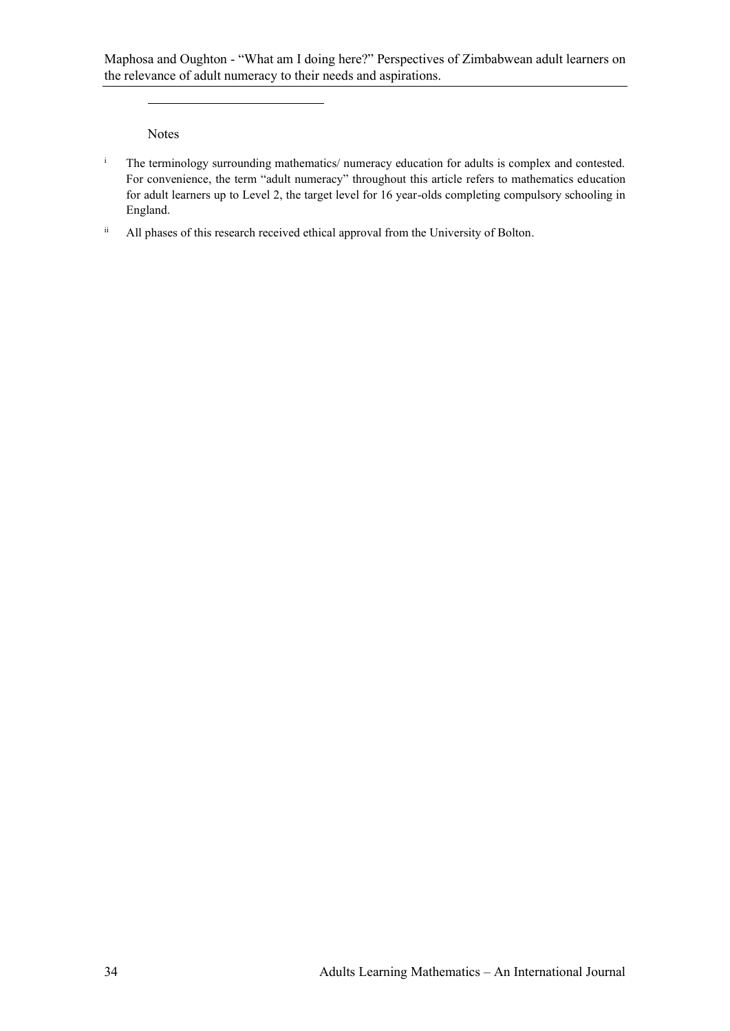Notes

- <sup>i</sup> The terminology surrounding mathematics/ numeracy education for adults is complex and contested. For convenience, the term "adult numeracy" throughout this article refers to mathematics education for adult learners up to Level 2, the target level for 16 year-olds completing compulsory schooling in England.
- ii All phases of this research received ethical approval from the University of Bolton.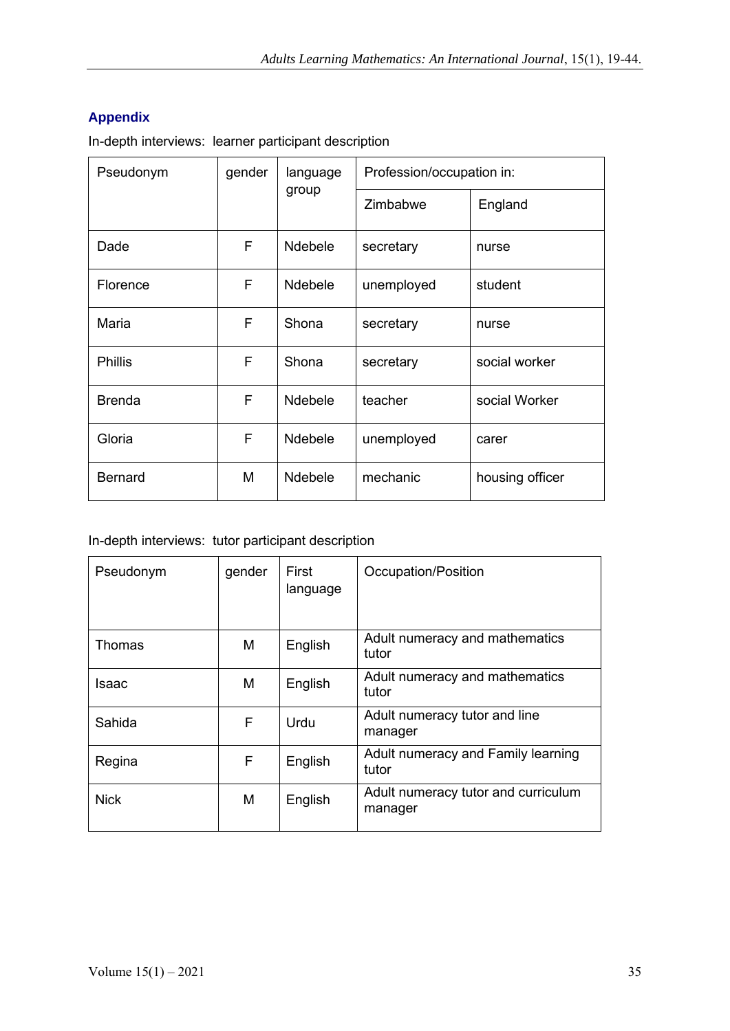# **Appendix**

In-depth interviews: learner participant description

| Pseudonym      | gender | language<br>group | Profession/occupation in: |                 |
|----------------|--------|-------------------|---------------------------|-----------------|
|                |        |                   | Zimbabwe                  | England         |
| Dade           | F      | <b>Ndebele</b>    | secretary                 | nurse           |
| Florence       | F      | <b>Ndebele</b>    | unemployed                | student         |
| Maria          | F      | Shona             | secretary                 | nurse           |
| <b>Phillis</b> | F      | Shona             | secretary                 | social worker   |
| <b>Brenda</b>  | F      | <b>Ndebele</b>    | teacher                   | social Worker   |
| Gloria         | F      | <b>Ndebele</b>    | unemployed                | carer           |
| <b>Bernard</b> | M      | <b>Ndebele</b>    | mechanic                  | housing officer |

## In-depth interviews: tutor participant description

| Pseudonym     | gender | First<br>language | Occupation/Position                            |
|---------------|--------|-------------------|------------------------------------------------|
| <b>Thomas</b> | М      | English           | Adult numeracy and mathematics<br>tutor        |
| Isaac         | М      | English           | Adult numeracy and mathematics<br>tutor        |
| Sahida        | F      | Urdu              | Adult numeracy tutor and line<br>manager       |
| Regina        | F      | English           | Adult numeracy and Family learning<br>tutor    |
| <b>Nick</b>   | M      | English           | Adult numeracy tutor and curriculum<br>manager |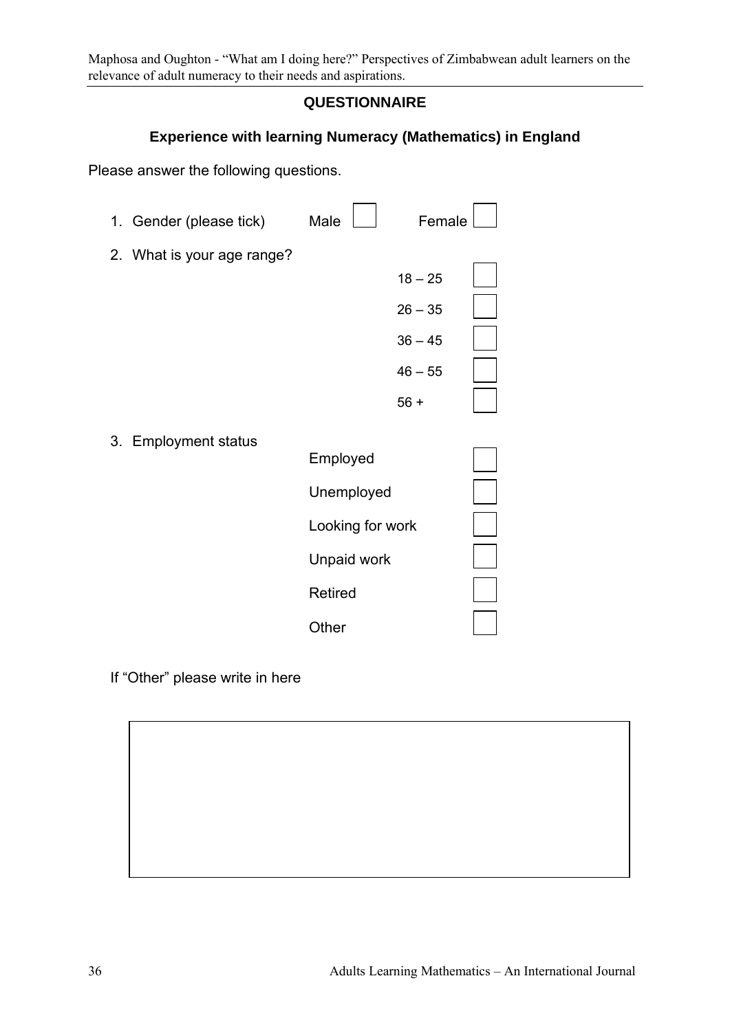# **QUESTIONNAIRE**

# **Experience with learning Numeracy (Mathematics) in England**

Please answer the following questions.

| 1. Gender (please tick)    | Male             | Female    |  |
|----------------------------|------------------|-----------|--|
| 2. What is your age range? |                  |           |  |
|                            |                  | $18 - 25$ |  |
|                            |                  | $26 - 35$ |  |
|                            |                  | $36 - 45$ |  |
|                            |                  | $46 - 55$ |  |
|                            |                  | $56 +$    |  |
| 3. Employment status       |                  |           |  |
|                            | Employed         |           |  |
|                            | Unemployed       |           |  |
|                            | Looking for work |           |  |
|                            | Unpaid work      |           |  |
|                            | Retired          |           |  |
|                            | Other            |           |  |
|                            |                  |           |  |

If "Other" please write in here

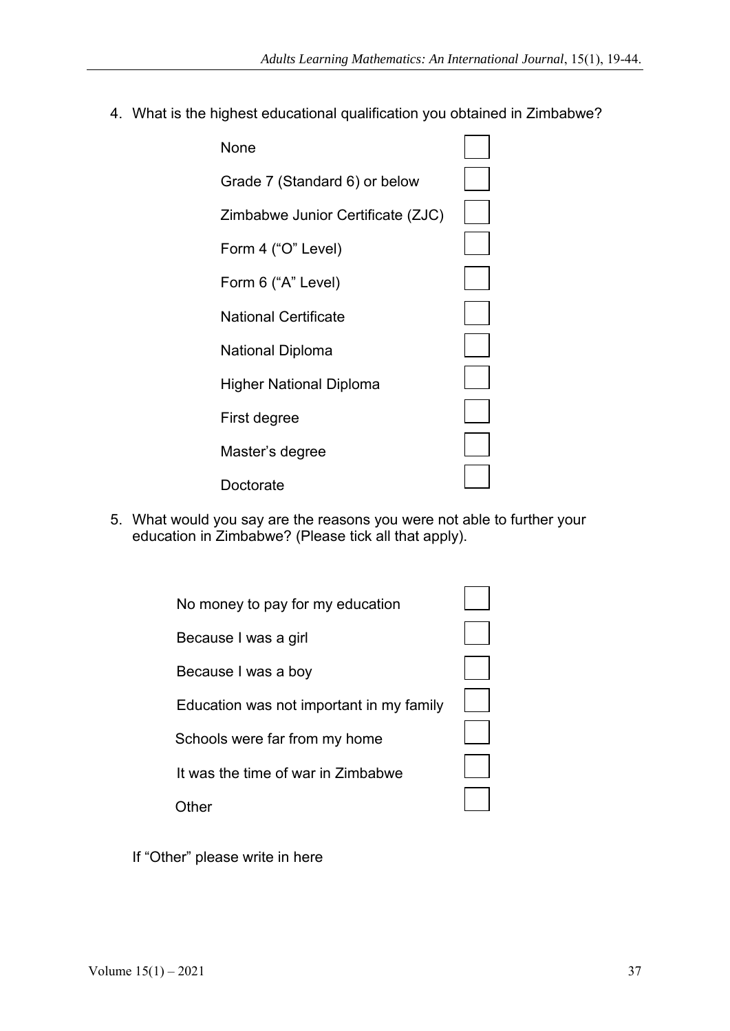4. What is the highest educational qualification you obtained in Zimbabwe?



5. What would you say are the reasons you were not able to further your education in Zimbabwe? (Please tick all that apply).

| No money to pay for my education         |  |
|------------------------------------------|--|
| Because I was a girl                     |  |
| Because I was a boy                      |  |
| Education was not important in my family |  |
| Schools were far from my home            |  |
| It was the time of war in Zimbabwe       |  |
|                                          |  |

If "Other" please write in here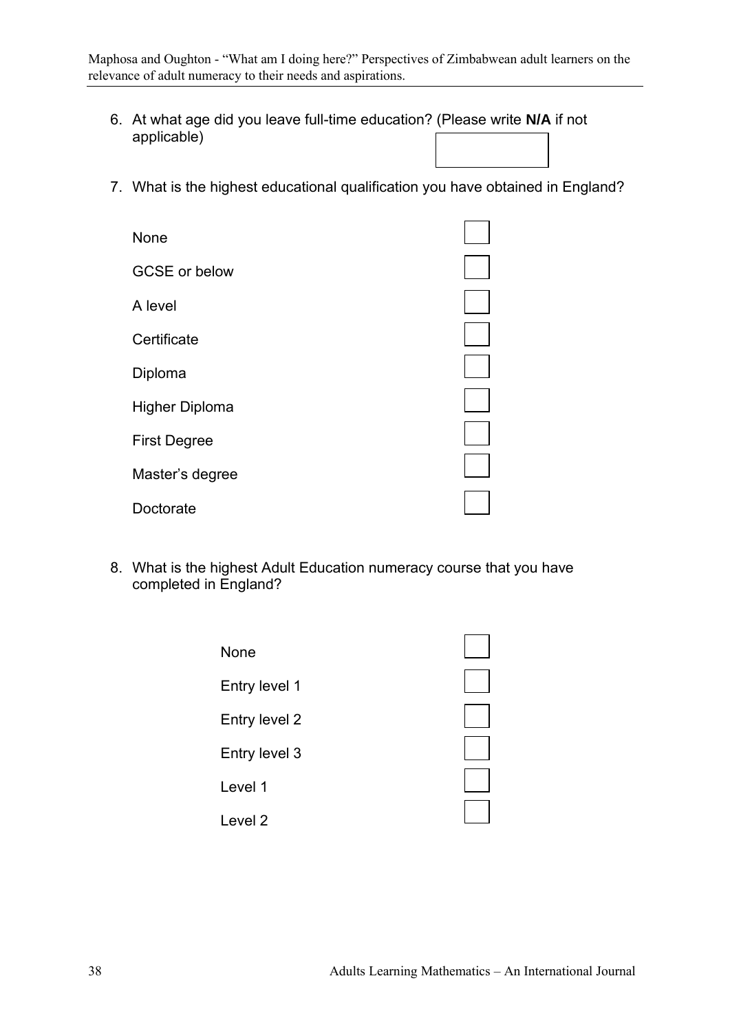- 6. At what age did you leave full-time education? (Please write **N/A** if not applicable)
- 7. What is the highest educational qualification you have obtained in England?

| None                 |  |
|----------------------|--|
| <b>GCSE or below</b> |  |
| A level              |  |
| Certificate          |  |
| Diploma              |  |
| Higher Diploma       |  |
| <b>First Degree</b>  |  |
| Master's degree      |  |
| Doctorate            |  |

8. What is the highest Adult Education numeracy course that you have completed in England?

| None          |  |
|---------------|--|
| Entry level 1 |  |
| Entry level 2 |  |
| Entry level 3 |  |
| Level 1       |  |
|               |  |
| Level 2       |  |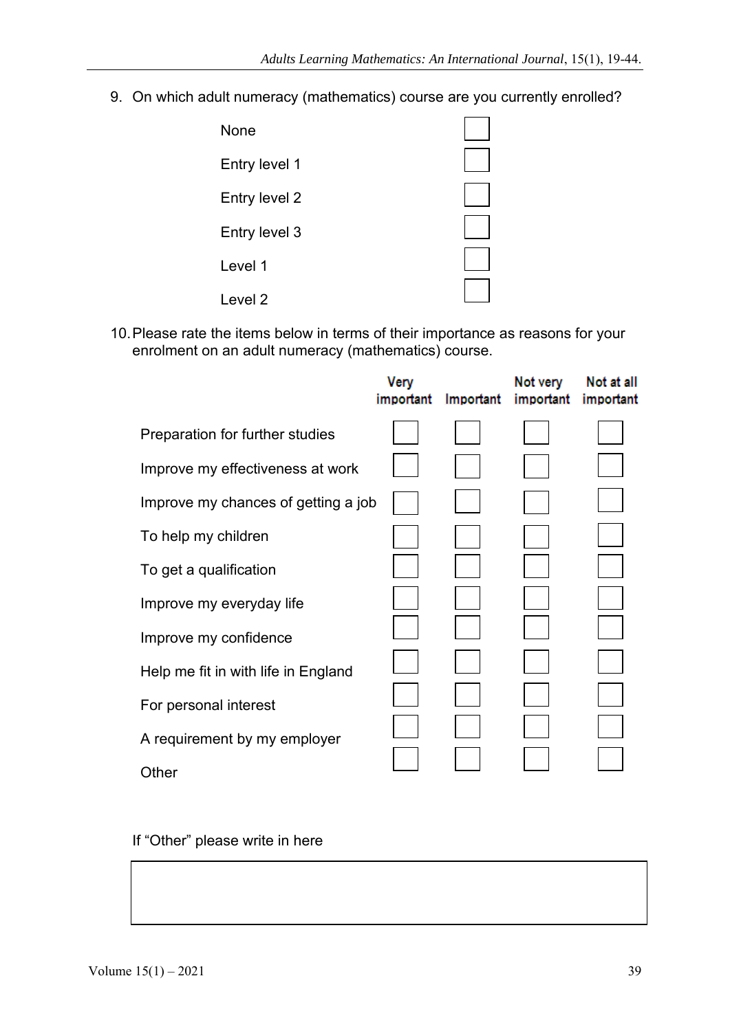9. On which adult numeracy (mathematics) course are you currently enrolled?

| None          |  |
|---------------|--|
| Entry level 1 |  |
| Entry level 2 |  |
| Entry level 3 |  |
| Level 1       |  |
| Level 2       |  |

10.Please rate the items below in terms of their importance as reasons for your enrolment on an adult numeracy (mathematics) course.

|                                     | Very<br>important | Important | Not very<br>important | Not at all<br>important |
|-------------------------------------|-------------------|-----------|-----------------------|-------------------------|
| Preparation for further studies     |                   |           |                       |                         |
| Improve my effectiveness at work    |                   |           |                       |                         |
| Improve my chances of getting a job |                   |           |                       |                         |
| To help my children                 |                   |           |                       |                         |
| To get a qualification              |                   |           |                       |                         |
| Improve my everyday life            |                   |           |                       |                         |
| Improve my confidence               |                   |           |                       |                         |
| Help me fit in with life in England |                   |           |                       |                         |
| For personal interest               |                   |           |                       |                         |
| A requirement by my employer        |                   |           |                       |                         |
| Other                               |                   |           |                       |                         |

If "Other" please write in here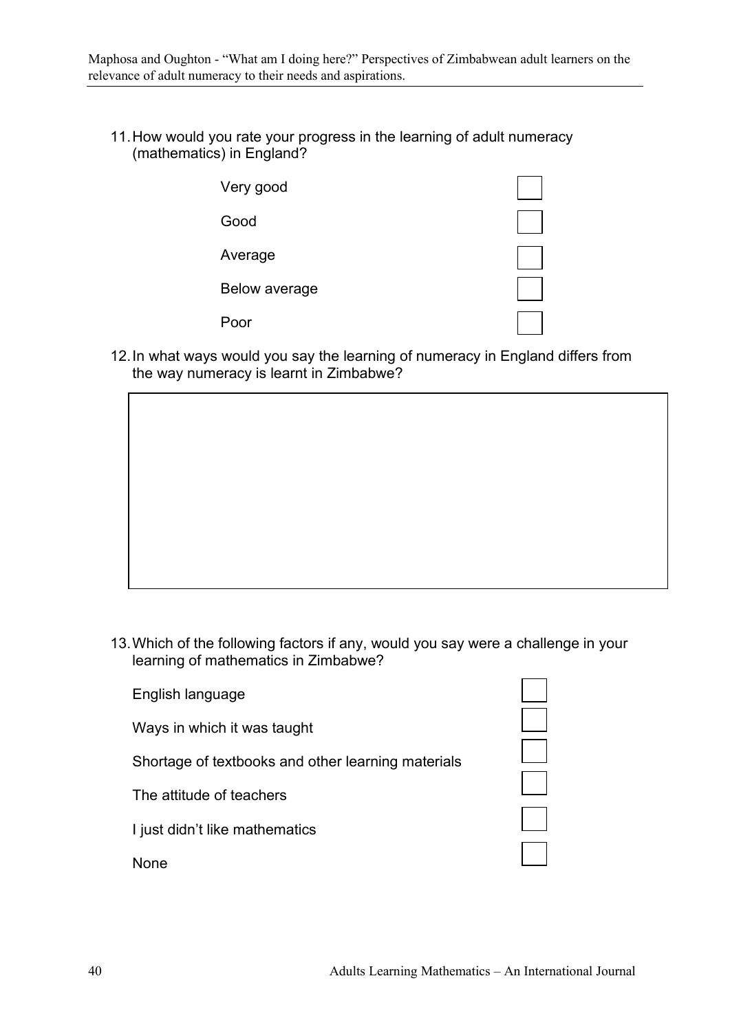11.How would you rate your progress in the learning of adult numeracy (mathematics) in England?

| Very good     |  |
|---------------|--|
| Good          |  |
| Average       |  |
| Below average |  |
| Poor          |  |

12.In what ways would you say the learning of numeracy in England differs from the way numeracy is learnt in Zimbabwe?



13.Which of the following factors if any, would you say were a challenge in your learning of mathematics in Zimbabwe?

| English language                                   |
|----------------------------------------------------|
| Ways in which it was taught                        |
| Shortage of textbooks and other learning materials |
| The attitude of teachers                           |
| I just didn't like mathematics                     |
| <b>None</b>                                        |

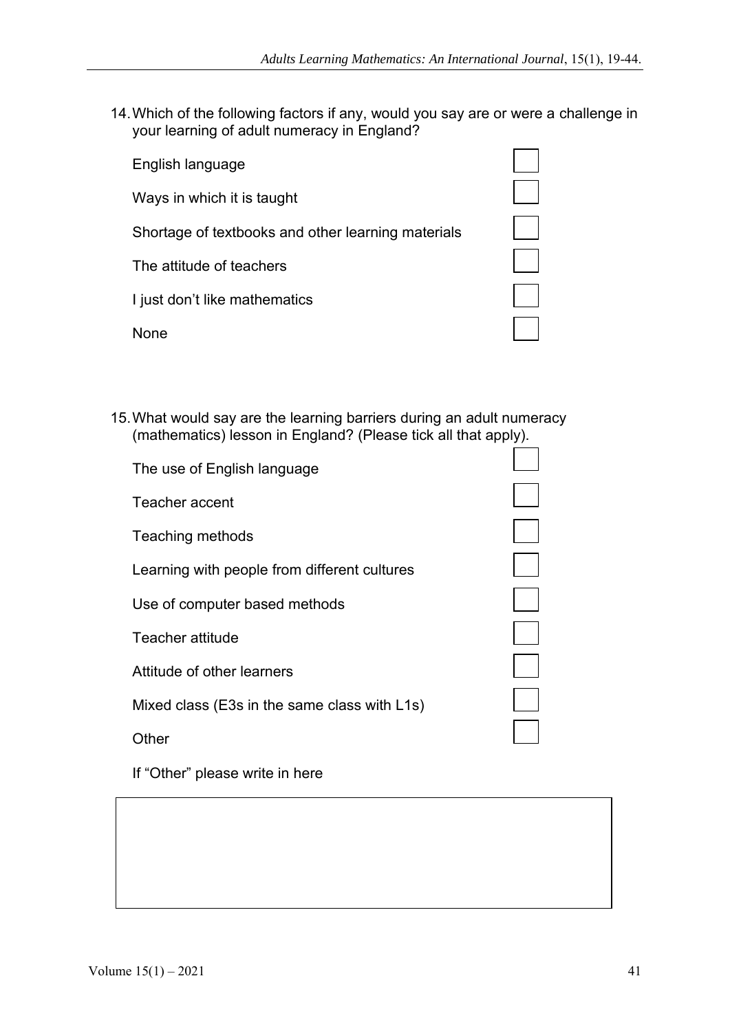14.Which of the following factors if any, would you say are or were a challenge in your learning of adult numeracy in England?

English language Ways in which it is taught Shortage of textbooks and other learning materials The attitude of teachers I just don't like mathematics



15.What would say are the learning barriers during an adult numeracy (mathematics) lesson in England? (Please tick all that apply).

| The use of English language                  |  |
|----------------------------------------------|--|
| Teacher accent                               |  |
| Teaching methods                             |  |
| Learning with people from different cultures |  |
| Use of computer based methods                |  |
| Teacher attitude                             |  |
| Attitude of other learners                   |  |
| Mixed class (E3s in the same class with L1s) |  |
| ther!                                        |  |

If "Other" please write in here

None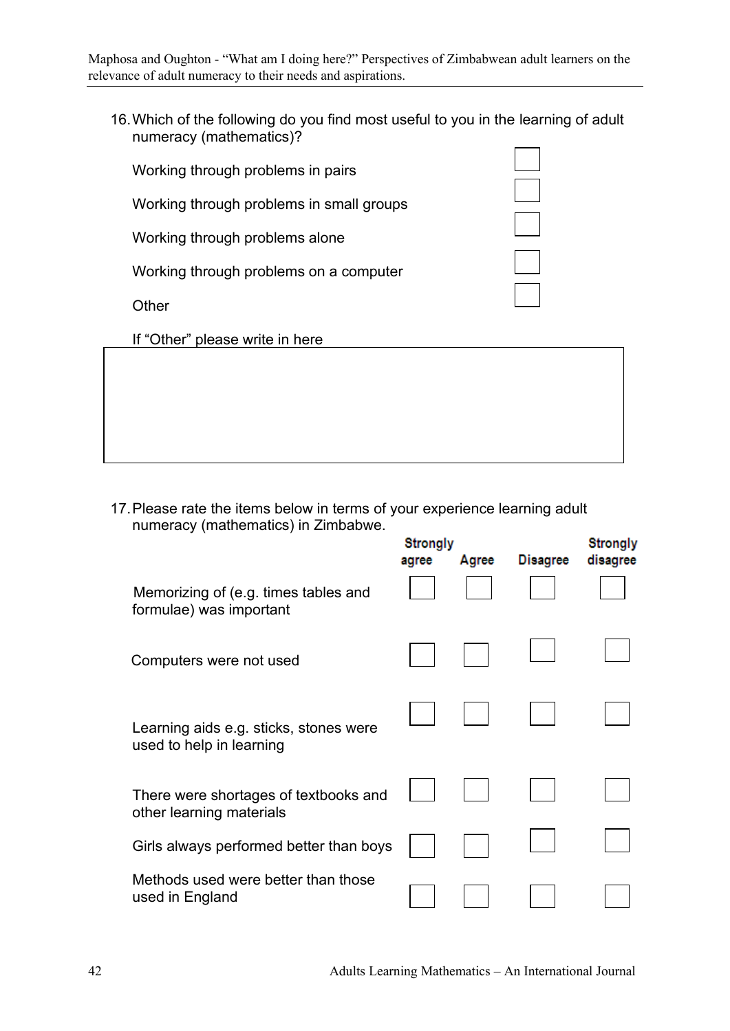16.Which of the following do you find most useful to you in the learning of adult numeracy (mathematics)?

| Working through problems in pairs        |  |
|------------------------------------------|--|
| Working through problems in small groups |  |
| Working through problems alone           |  |
| Working through problems on a computer   |  |
| Other                                    |  |
| If "Other" please write in here          |  |
|                                          |  |
|                                          |  |

17.Please rate the items below in terms of your experience learning adult numeracy (mathematics) in Zimbabwe.

|                                                                    | <b>Strongly</b><br>agree | Agree | <b>Disagree</b> | <b>Strongly</b><br>disagree |
|--------------------------------------------------------------------|--------------------------|-------|-----------------|-----------------------------|
| Memorizing of (e.g. times tables and<br>formulae) was important    |                          |       |                 |                             |
| Computers were not used                                            |                          |       |                 |                             |
| Learning aids e.g. sticks, stones were<br>used to help in learning |                          |       |                 |                             |
| There were shortages of textbooks and<br>other learning materials  |                          |       |                 |                             |
| Girls always performed better than boys                            |                          |       |                 |                             |
| Methods used were better than those<br>used in England             |                          |       |                 |                             |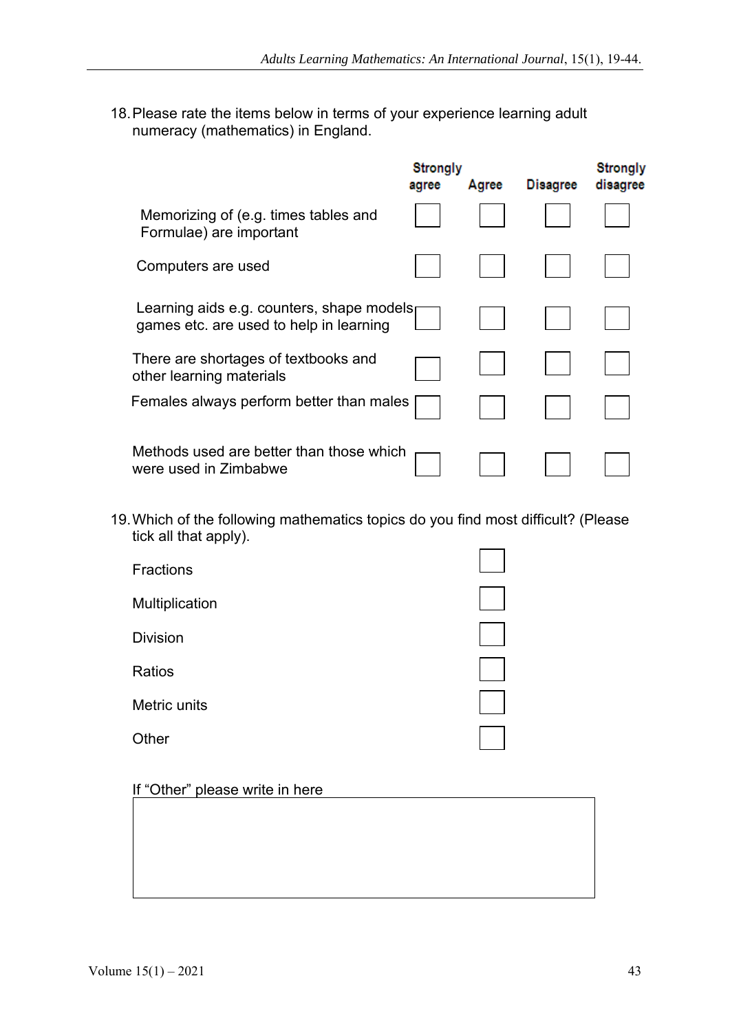18.Please rate the items below in terms of your experience learning adult numeracy (mathematics) in England.

|                                                                                      | <b>Strongly</b><br>agree | Agree | <b>Disagree</b> | <b>Strongly</b><br>disagree |
|--------------------------------------------------------------------------------------|--------------------------|-------|-----------------|-----------------------------|
| Memorizing of (e.g. times tables and<br>Formulae) are important                      |                          |       |                 |                             |
| Computers are used                                                                   |                          |       |                 |                             |
| Learning aids e.g. counters, shape models<br>games etc. are used to help in learning |                          |       |                 |                             |
| There are shortages of textbooks and<br>other learning materials                     |                          |       |                 |                             |
| Females always perform better than males                                             |                          |       |                 |                             |
| Methods used are better than those which<br>were used in Zimbabwe                    |                          |       |                 |                             |

19.Which of the following mathematics topics do you find most difficult? (Please tick all that apply).

# If "Other" please write in here